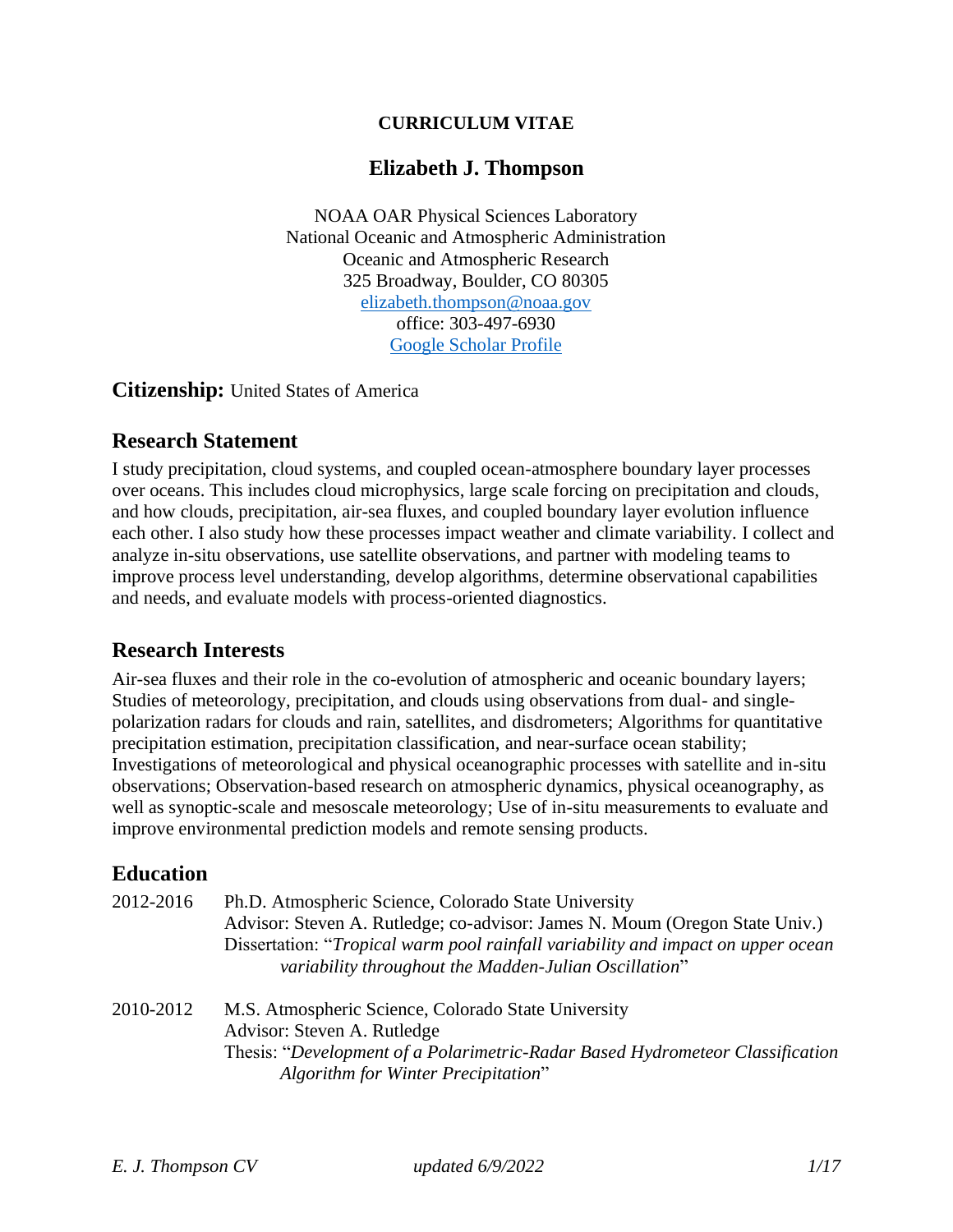#### **CURRICULUM VITAE**

#### **Elizabeth J. Thompson**

NOAA OAR Physical Sciences Laboratory National Oceanic and Atmospheric Administration Oceanic and Atmospheric Research 325 Broadway, Boulder, CO 80305 [elizabeth.thompson@noaa.gov](mailto:elizabeth.thompson@noaa.gov) office: 303-497-6930 [Google Scholar Profile](https://scholar.google.com/citations?user=kqnHxqEAAAAJ&hl=en)

**Citizenship:** United States of America

#### **Research Statement**

I study precipitation, cloud systems, and coupled ocean-atmosphere boundary layer processes over oceans. This includes cloud microphysics, large scale forcing on precipitation and clouds, and how clouds, precipitation, air-sea fluxes, and coupled boundary layer evolution influence each other. I also study how these processes impact weather and climate variability. I collect and analyze in-situ observations, use satellite observations, and partner with modeling teams to improve process level understanding, develop algorithms, determine observational capabilities and needs, and evaluate models with process-oriented diagnostics.

#### **Research Interests**

Air-sea fluxes and their role in the co-evolution of atmospheric and oceanic boundary layers; Studies of meteorology, precipitation, and clouds using observations from dual- and singlepolarization radars for clouds and rain, satellites, and disdrometers; Algorithms for quantitative precipitation estimation, precipitation classification, and near-surface ocean stability; Investigations of meteorological and physical oceanographic processes with satellite and in-situ observations; Observation-based research on atmospheric dynamics, physical oceanography, as well as synoptic-scale and mesoscale meteorology; Use of in-situ measurements to evaluate and improve environmental prediction models and remote sensing products.

#### **Education**

| 2012-2016 | Ph.D. Atmospheric Science, Colorado State University                             |
|-----------|----------------------------------------------------------------------------------|
|           | Advisor: Steven A. Rutledge; co-advisor: James N. Moum (Oregon State Univ.)      |
|           | Dissertation: "Tropical warm pool rainfall variability and impact on upper ocean |
|           | variability throughout the Madden-Julian Oscillation"                            |
| 2010-2012 | M.S. Atmospheric Science, Colorado State University                              |
|           | Advisor: Steven A. Rutledge                                                      |
|           | Thesis: "Development of a Polarimetric-Radar Based Hydrometeor Classification    |
|           | Algorithm for Winter Precipitation"                                              |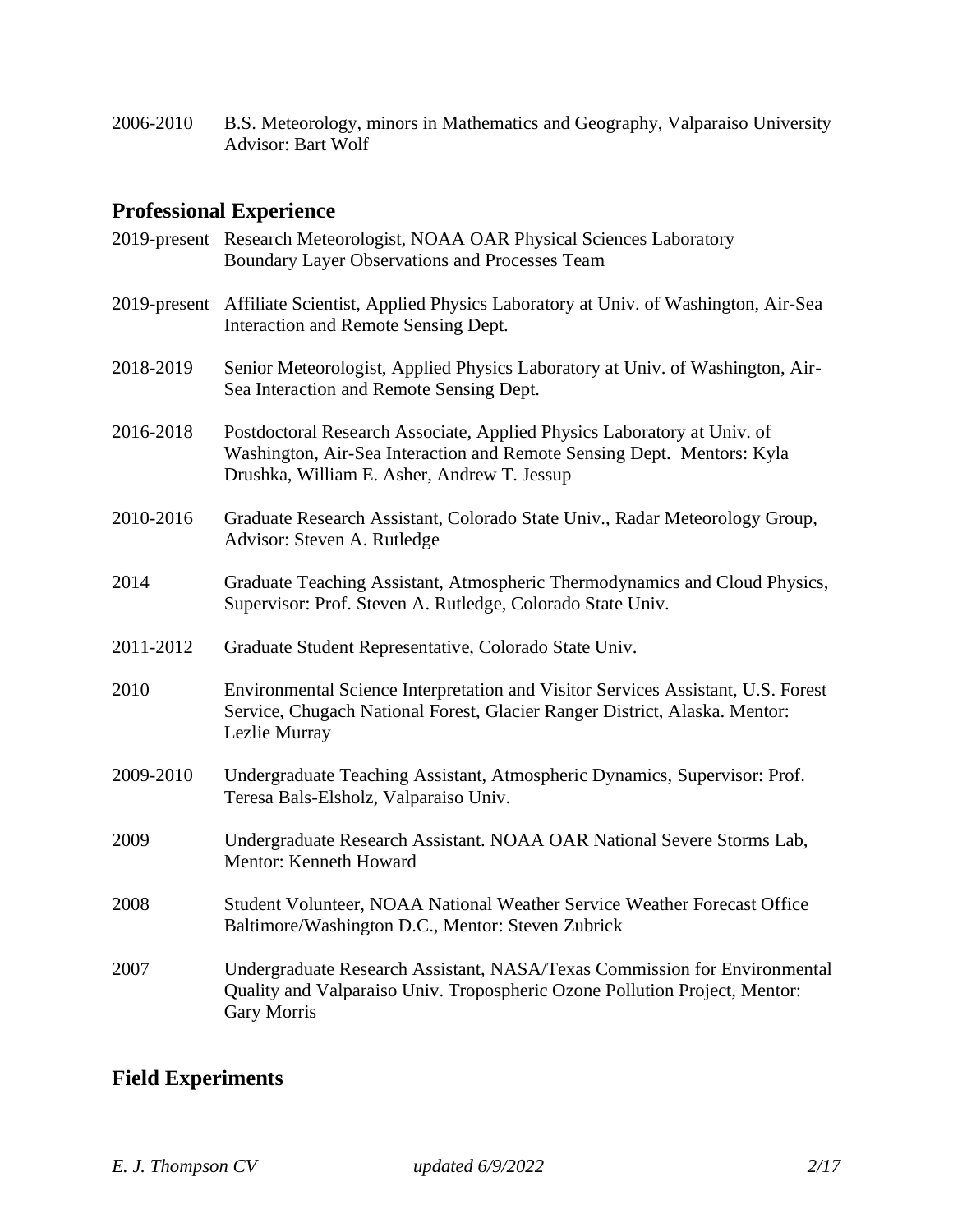2006-2010 B.S. Meteorology, minors in Mathematics and Geography, Valparaiso University Advisor: Bart Wolf

# **Professional Experience**

|           | 2019-present Research Meteorologist, NOAA OAR Physical Sciences Laboratory<br>Boundary Layer Observations and Processes Team                                                                     |
|-----------|--------------------------------------------------------------------------------------------------------------------------------------------------------------------------------------------------|
|           | 2019-present Affiliate Scientist, Applied Physics Laboratory at Univ. of Washington, Air-Sea<br>Interaction and Remote Sensing Dept.                                                             |
| 2018-2019 | Senior Meteorologist, Applied Physics Laboratory at Univ. of Washington, Air-<br>Sea Interaction and Remote Sensing Dept.                                                                        |
| 2016-2018 | Postdoctoral Research Associate, Applied Physics Laboratory at Univ. of<br>Washington, Air-Sea Interaction and Remote Sensing Dept. Mentors: Kyla<br>Drushka, William E. Asher, Andrew T. Jessup |
| 2010-2016 | Graduate Research Assistant, Colorado State Univ., Radar Meteorology Group,<br>Advisor: Steven A. Rutledge                                                                                       |
| 2014      | Graduate Teaching Assistant, Atmospheric Thermodynamics and Cloud Physics,<br>Supervisor: Prof. Steven A. Rutledge, Colorado State Univ.                                                         |
| 2011-2012 | Graduate Student Representative, Colorado State Univ.                                                                                                                                            |
| 2010      | Environmental Science Interpretation and Visitor Services Assistant, U.S. Forest<br>Service, Chugach National Forest, Glacier Ranger District, Alaska. Mentor:<br>Lezlie Murray                  |
| 2009-2010 | Undergraduate Teaching Assistant, Atmospheric Dynamics, Supervisor: Prof.<br>Teresa Bals-Elsholz, Valparaiso Univ.                                                                               |
| 2009      | Undergraduate Research Assistant. NOAA OAR National Severe Storms Lab,<br>Mentor: Kenneth Howard                                                                                                 |
| 2008      | Student Volunteer, NOAA National Weather Service Weather Forecast Office<br>Baltimore/Washington D.C., Mentor: Steven Zubrick                                                                    |
| 2007      | Undergraduate Research Assistant, NASA/Texas Commission for Environmental<br>Quality and Valparaiso Univ. Tropospheric Ozone Pollution Project, Mentor:<br><b>Gary Morris</b>                    |

# **Field Experiments**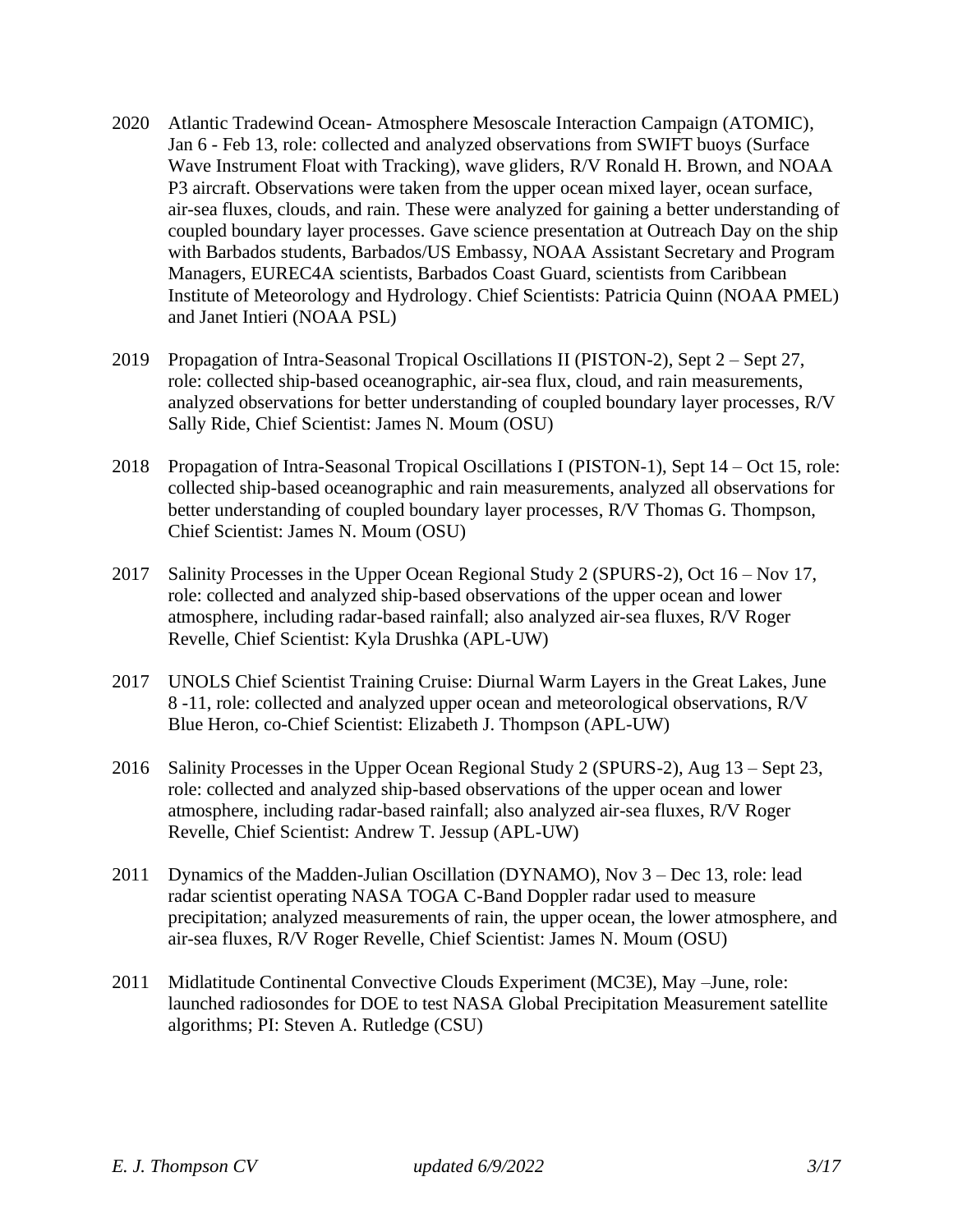- 2020 Atlantic Tradewind Ocean- Atmosphere Mesoscale Interaction Campaign (ATOMIC), Jan 6 - Feb 13, role: collected and analyzed observations from SWIFT buoys (Surface Wave Instrument Float with Tracking), wave gliders, R/V Ronald H. Brown, and NOAA P3 aircraft. Observations were taken from the upper ocean mixed layer, ocean surface, air-sea fluxes, clouds, and rain. These were analyzed for gaining a better understanding of coupled boundary layer processes. Gave science presentation at Outreach Day on the ship with Barbados students, Barbados/US Embassy, NOAA Assistant Secretary and Program Managers, EUREC4A scientists, Barbados Coast Guard, scientists from Caribbean Institute of Meteorology and Hydrology. Chief Scientists: Patricia Quinn (NOAA PMEL) and Janet Intieri (NOAA PSL)
- 2019 Propagation of Intra-Seasonal Tropical Oscillations II (PISTON-2), Sept 2 Sept 27, role: collected ship-based oceanographic, air-sea flux, cloud, and rain measurements, analyzed observations for better understanding of coupled boundary layer processes, R/V Sally Ride, Chief Scientist: James N. Moum (OSU)
- 2018 Propagation of Intra-Seasonal Tropical Oscillations I (PISTON-1), Sept 14 Oct 15, role: collected ship-based oceanographic and rain measurements, analyzed all observations for better understanding of coupled boundary layer processes, R/V Thomas G. Thompson, Chief Scientist: James N. Moum (OSU)
- 2017 Salinity Processes in the Upper Ocean Regional Study 2 (SPURS-2), Oct 16 Nov 17, role: collected and analyzed ship-based observations of the upper ocean and lower atmosphere, including radar-based rainfall; also analyzed air-sea fluxes, R/V Roger Revelle, Chief Scientist: Kyla Drushka (APL-UW)
- 2017 UNOLS Chief Scientist Training Cruise: Diurnal Warm Layers in the Great Lakes, June 8 -11, role: collected and analyzed upper ocean and meteorological observations, R/V Blue Heron, co-Chief Scientist: Elizabeth J. Thompson (APL-UW)
- 2016 Salinity Processes in the Upper Ocean Regional Study 2 (SPURS-2), Aug 13 Sept 23, role: collected and analyzed ship-based observations of the upper ocean and lower atmosphere, including radar-based rainfall; also analyzed air-sea fluxes, R/V Roger Revelle, Chief Scientist: Andrew T. Jessup (APL-UW)
- 2011 Dynamics of the Madden-Julian Oscillation (DYNAMO), Nov 3 Dec 13, role: lead radar scientist operating NASA TOGA C-Band Doppler radar used to measure precipitation; analyzed measurements of rain, the upper ocean, the lower atmosphere, and air-sea fluxes, R/V Roger Revelle, Chief Scientist: James N. Moum (OSU)
- 2011 Midlatitude Continental Convective Clouds Experiment (MC3E), May –June, role: launched radiosondes for DOE to test NASA Global Precipitation Measurement satellite algorithms; PI: Steven A. Rutledge (CSU)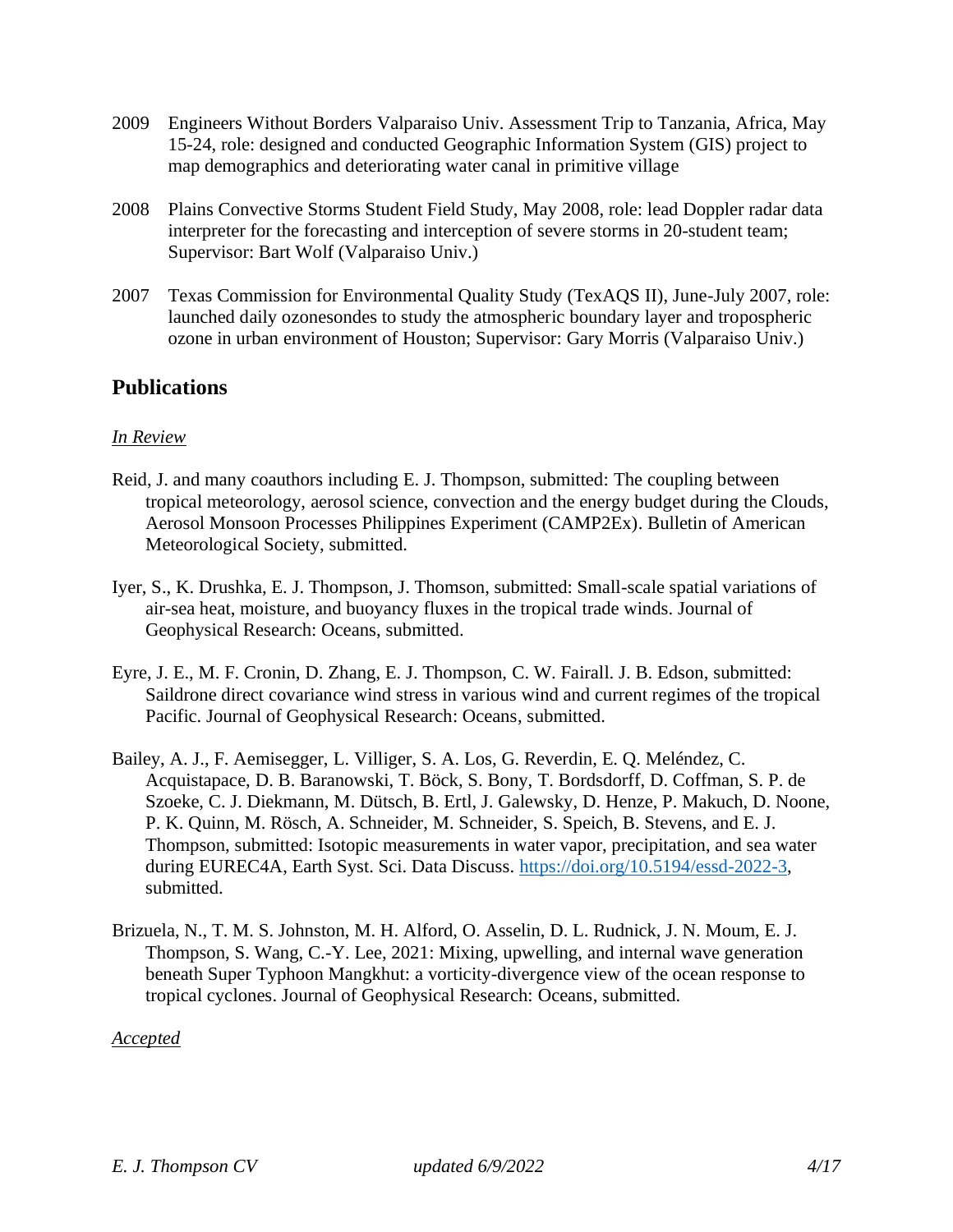- 2009 Engineers Without Borders Valparaiso Univ. Assessment Trip to Tanzania, Africa, May 15-24, role: designed and conducted Geographic Information System (GIS) project to map demographics and deteriorating water canal in primitive village
- 2008 Plains Convective Storms Student Field Study, May 2008, role: lead Doppler radar data interpreter for the forecasting and interception of severe storms in 20-student team; Supervisor: Bart Wolf (Valparaiso Univ.)
- 2007 Texas Commission for Environmental Quality Study (TexAQS II), June-July 2007, role: launched daily ozonesondes to study the atmospheric boundary layer and tropospheric ozone in urban environment of Houston; Supervisor: Gary Morris (Valparaiso Univ.)

## **Publications**

#### *In Review*

- Reid, J. and many coauthors including E. J. Thompson, submitted: The coupling between tropical meteorology, aerosol science, convection and the energy budget during the Clouds, Aerosol Monsoon Processes Philippines Experiment (CAMP2Ex). Bulletin of American Meteorological Society, submitted.
- Iyer, S., K. Drushka, E. J. Thompson, J. Thomson, submitted: Small-scale spatial variations of air-sea heat, moisture, and buoyancy fluxes in the tropical trade winds. Journal of Geophysical Research: Oceans, submitted.
- Eyre, J. E., M. F. Cronin, D. Zhang, E. J. Thompson, C. W. Fairall. J. B. Edson, submitted: Saildrone direct covariance wind stress in various wind and current regimes of the tropical Pacific. Journal of Geophysical Research: Oceans, submitted.
- Bailey, A. J., F. Aemisegger, L. Villiger, S. A. Los, G. Reverdin, E. Q. Meléndez, C. Acquistapace, D. B. Baranowski, T. Böck, S. Bony, T. Bordsdorff, D. Coffman, S. P. de Szoeke, C. J. Diekmann, M. Dütsch, B. Ertl, J. Galewsky, D. Henze, P. Makuch, D. Noone, P. K. Quinn, M. Rösch, A. Schneider, M. Schneider, S. Speich, B. Stevens, and E. J. Thompson, submitted: Isotopic measurements in water vapor, precipitation, and sea water during EUREC4A, Earth Syst. Sci. Data Discuss. [https://doi.org/10.5194/essd-2022-3,](https://doi.org/10.5194/essd-2022-3) submitted.
- Brizuela, N., T. M. S. Johnston, M. H. Alford, O. Asselin, D. L. Rudnick, J. N. Moum, E. J. Thompson, S. Wang, C.-Y. Lee, 2021: Mixing, upwelling, and internal wave generation beneath Super Typhoon Mangkhut: a vorticity-divergence view of the ocean response to tropical cyclones. Journal of Geophysical Research: Oceans, submitted.

*Accepted*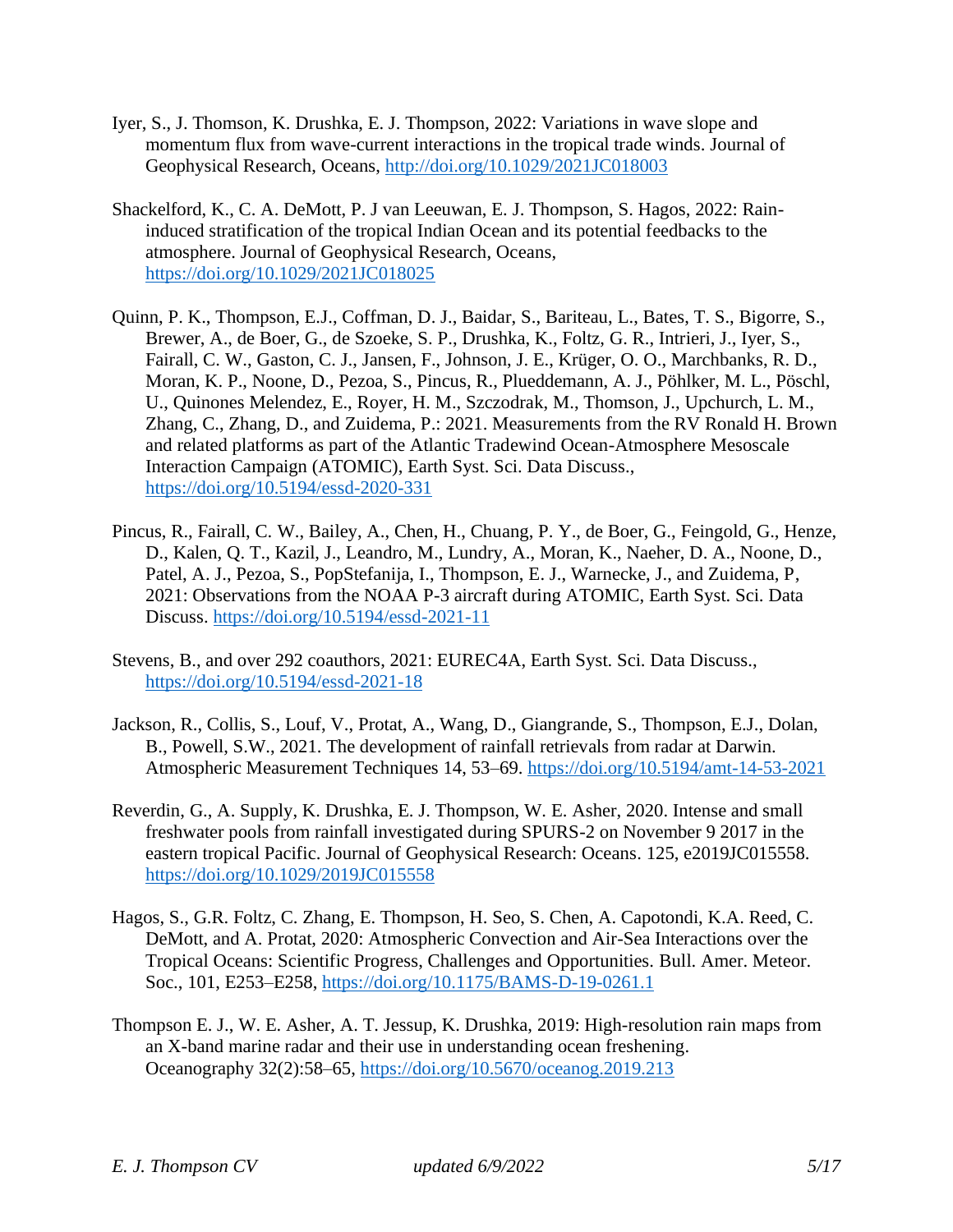- Iyer, S., J. Thomson, K. Drushka, E. J. Thompson, 2022: Variations in wave slope and momentum flux from wave-current interactions in the tropical trade winds. Journal of Geophysical Research, Oceans,<http://doi.org/10.1029/2021JC018003>
- Shackelford, K., C. A. DeMott, P. J van Leeuwan, E. J. Thompson, S. Hagos, 2022: Raininduced stratification of the tropical Indian Ocean and its potential feedbacks to the atmosphere. Journal of Geophysical Research, Oceans, <https://doi.org/10.1029/2021JC018025>
- Quinn, P. K., Thompson, E.J., Coffman, D. J., Baidar, S., Bariteau, L., Bates, T. S., Bigorre, S., Brewer, A., de Boer, G., de Szoeke, S. P., Drushka, K., Foltz, G. R., Intrieri, J., Iyer, S., Fairall, C. W., Gaston, C. J., Jansen, F., Johnson, J. E., Krüger, O. O., Marchbanks, R. D., Moran, K. P., Noone, D., Pezoa, S., Pincus, R., Plueddemann, A. J., Pöhlker, M. L., Pöschl, U., Quinones Melendez, E., Royer, H. M., Szczodrak, M., Thomson, J., Upchurch, L. M., Zhang, C., Zhang, D., and Zuidema, P.: 2021. Measurements from the RV Ronald H. Brown and related platforms as part of the Atlantic Tradewind Ocean-Atmosphere Mesoscale Interaction Campaign (ATOMIC), Earth Syst. Sci. Data Discuss., [https://doi.org/10.5194/essd-2020-331](https://essd.copernicus.org/preprints/essd-2020-331/)
- Pincus, R., Fairall, C. W., Bailey, A., Chen, H., Chuang, P. Y., de Boer, G., Feingold, G., Henze, D., Kalen, Q. T., Kazil, J., Leandro, M., Lundry, A., Moran, K., Naeher, D. A., Noone, D., Patel, A. J., Pezoa, S., PopStefanija, I., Thompson, E. J., Warnecke, J., and Zuidema, P, 2021: Observations from the NOAA P-3 aircraft during ATOMIC, Earth Syst. Sci. Data Discuss.<https://doi.org/10.5194/essd-2021-11>
- Stevens, B., and over 292 coauthors, 2021: EUREC4A, Earth Syst. Sci. Data Discuss., <https://doi.org/10.5194/essd-2021-18>
- Jackson, R., Collis, S., Louf, V., Protat, A., Wang, D., Giangrande, S., Thompson, E.J., Dolan, B., Powell, S.W., 2021. The development of rainfall retrievals from radar at Darwin. Atmospheric Measurement Techniques 14, 53–69.<https://doi.org/10.5194/amt-14-53-2021>
- Reverdin, G., A. Supply, K. Drushka, E. J. Thompson, W. E. Asher, 2020. Intense and small freshwater pools from rainfall investigated during SPURS-2 on November 9 2017 in the eastern tropical Pacific. Journal of Geophysical Research: Oceans. 125, e2019JC015558. <https://doi.org/10.1029/2019JC015558>
- Hagos, S., G.R. Foltz, C. Zhang, E. Thompson, H. Seo, S. Chen, A. Capotondi, K.A. Reed, C. DeMott, and A. Protat, 2020: Atmospheric Convection and Air-Sea Interactions over the Tropical Oceans: Scientific Progress, Challenges and Opportunities. Bull. Amer. Meteor. Soc., 101, E253–E258,<https://doi.org/10.1175/BAMS-D-19-0261.1>
- Thompson E. J., W. E. Asher, A. T. Jessup, K. Drushka, 2019: High-resolution rain maps from an X-band marine radar and their use in understanding ocean freshening. Oceanography 32(2):58–65,<https://doi.org/10.5670/oceanog.2019.213>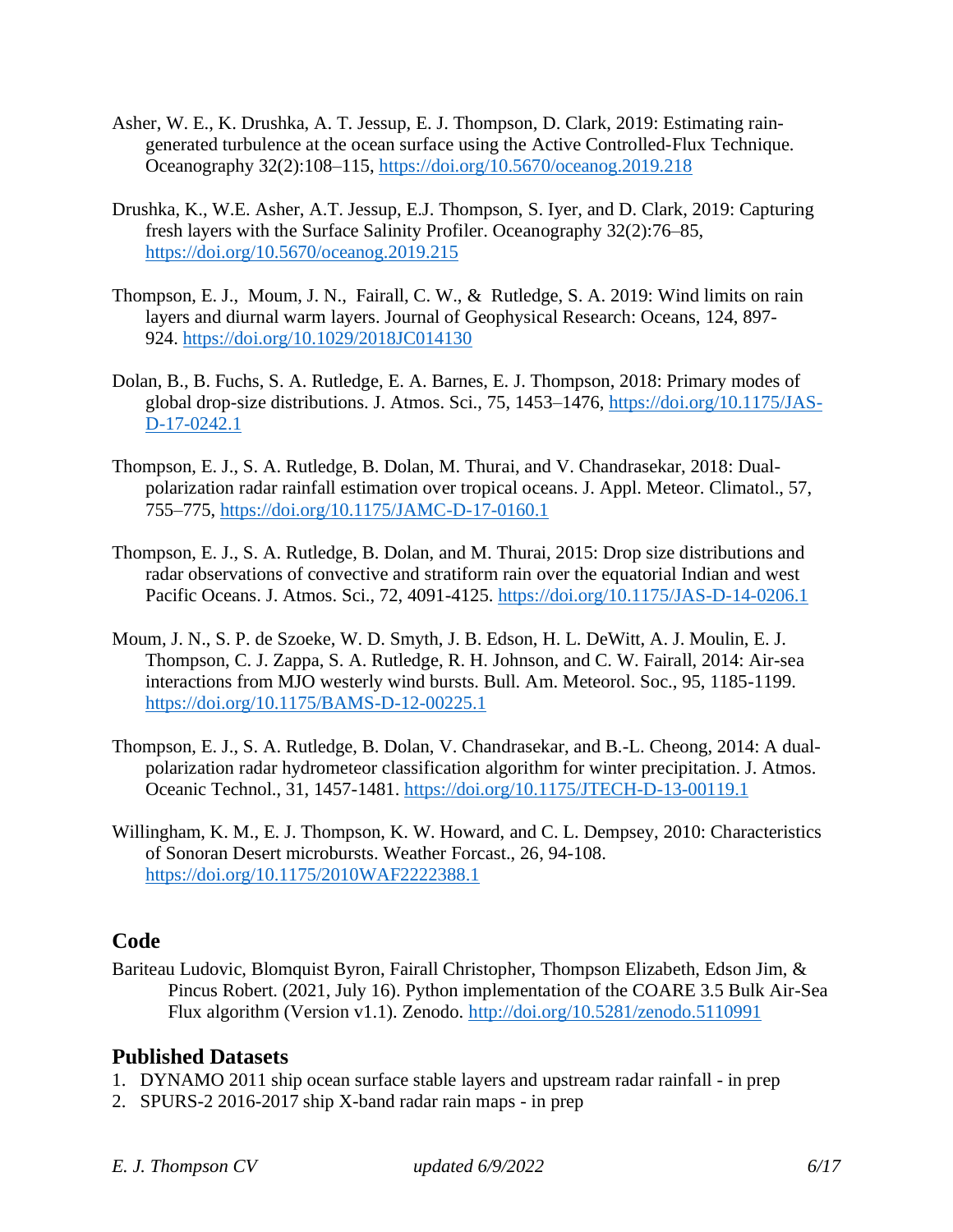- Asher, W. E., K. Drushka, A. T. Jessup, E. J. Thompson, D. Clark, 2019: Estimating raingenerated turbulence at the ocean surface using the Active Controlled-Flux Technique. Oceanography 32(2):108–115,<https://doi.org/10.5670/oceanog.2019.218>
- Drushka, K., W.E. Asher, A.T. Jessup, E.J. Thompson, S. Iyer, and D. Clark, 2019: Capturing fresh layers with the Surface Salinity Profiler. Oceanography 32(2):76–85, <https://doi.org/10.5670/oceanog.2019.215>
- Thompson, E. J., Moum, J. N., Fairall, C. W., & Rutledge, S. A. 2019: Wind limits on rain layers and diurnal warm layers. Journal of Geophysical Research: Oceans, 124, 897- 924. <https://doi.org/10.1029/2018JC014130>
- Dolan, B., B. Fuchs, S. A. Rutledge, E. A. Barnes, E. J. Thompson, 2018: Primary modes of global drop-size distributions. J. Atmos. Sci., 75, 1453–1476, [https://doi.org/10.1175/JAS-](https://doi.org/10.1175/JAS-D-17-0242.1)[D-17-0242.1](https://doi.org/10.1175/JAS-D-17-0242.1)
- Thompson, E. J., S. A. Rutledge, B. Dolan, M. Thurai, and V. Chandrasekar, 2018: Dualpolarization radar rainfall estimation over tropical oceans. J. Appl. Meteor. Climatol., 57, 755–775,<https://doi.org/10.1175/JAMC-D-17-0160.1>
- Thompson, E. J., S. A. Rutledge, B. Dolan, and M. Thurai, 2015: Drop size distributions and radar observations of convective and stratiform rain over the equatorial Indian and west Pacific Oceans. J. Atmos. Sci., 72, 4091-4125.<https://doi.org/10.1175/JAS-D-14-0206.1>
- Moum, J. N., S. P. de Szoeke, W. D. Smyth, J. B. Edson, H. L. DeWitt, A. J. Moulin, E. J. Thompson, C. J. Zappa, S. A. Rutledge, R. H. Johnson, and C. W. Fairall, 2014: Air-sea interactions from MJO westerly wind bursts. Bull. Am. Meteorol. Soc., 95, 1185-1199. <https://doi.org/10.1175/BAMS-D-12-00225.1>
- Thompson, E. J., S. A. Rutledge, B. Dolan, V. Chandrasekar, and B.-L. Cheong, 2014: A dualpolarization radar hydrometeor classification algorithm for winter precipitation. J. Atmos. Oceanic Technol., 31, 1457-1481.<https://doi.org/10.1175/JTECH-D-13-00119.1>
- Willingham, K. M., E. J. Thompson, K. W. Howard, and C. L. Dempsey, 2010: Characteristics of Sonoran Desert microbursts. Weather Forcast., 26, 94-108. <https://doi.org/10.1175/2010WAF2222388.1>

#### **Code**

Bariteau Ludovic, Blomquist Byron, Fairall Christopher, Thompson Elizabeth, Edson Jim, & Pincus Robert. (2021, July 16). Python implementation of the COARE 3.5 Bulk Air-Sea Flux algorithm (Version v1.1). Zenodo.<http://doi.org/10.5281/zenodo.5110991>

#### **Published Datasets**

- 1. DYNAMO 2011 ship ocean surface stable layers and upstream radar rainfall in prep
- 2. SPURS-2 2016-2017 ship X-band radar rain maps in prep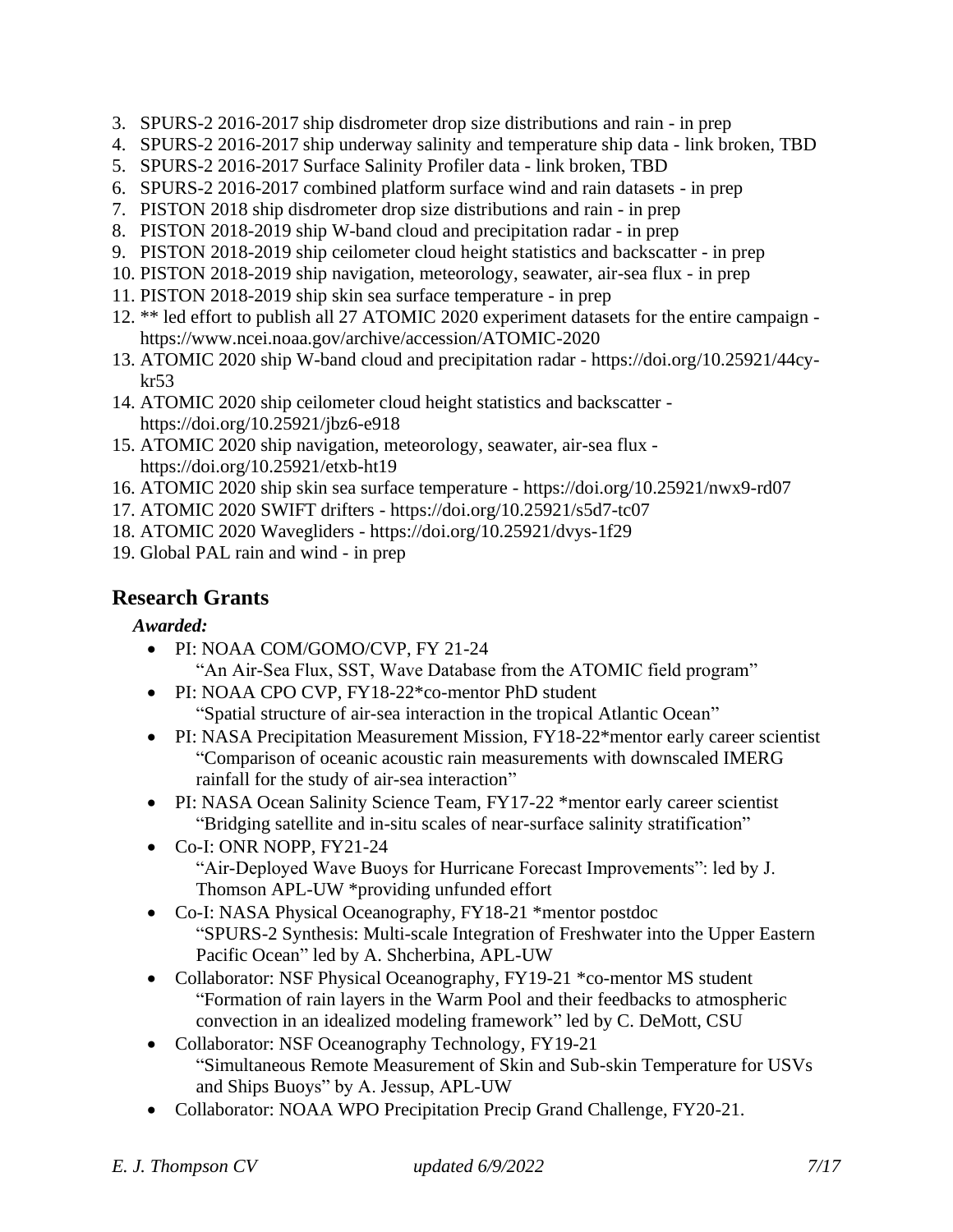- 3. SPURS-2 2016-2017 ship disdrometer drop size distributions and rain in prep
- 4. SPURS-2 2016-2017 ship underway salinity and temperature ship data link broken, TBD
- 5. SPURS-2 2016-2017 Surface Salinity Profiler data link broken, TBD
- 6. SPURS-2 2016-2017 combined platform surface wind and rain datasets in prep
- 7. PISTON 2018 ship disdrometer drop size distributions and rain in prep
- 8. PISTON 2018-2019 ship W-band cloud and precipitation radar in prep
- 9. PISTON 2018-2019 ship ceilometer cloud height statistics and backscatter in prep
- 10. PISTON 2018-2019 ship navigation, meteorology, seawater, air-sea flux in prep
- 11. PISTON 2018-2019 ship skin sea surface temperature in prep
- 12. \*\* led effort to publish all 27 ATOMIC 2020 experiment datasets for the entire campaign https://www.ncei.noaa.gov/archive/accession/ATOMIC-2020
- 13. ATOMIC 2020 ship W-band cloud and precipitation radar https://doi.org/10.25921/44cykr53
- 14. ATOMIC 2020 ship ceilometer cloud height statistics and backscatter https://doi.org/10.25921/jbz6-e918
- 15. ATOMIC 2020 ship navigation, meteorology, seawater, air-sea flux https://doi.org/10.25921/etxb-ht19
- 16. ATOMIC 2020 ship skin sea surface temperature https://doi.org/10.25921/nwx9-rd07
- 17. ATOMIC 2020 SWIFT drifters https://doi.org/10.25921/s5d7-tc07
- 18. ATOMIC 2020 Wavegliders https://doi.org/10.25921/dvys-1f29
- 19. Global PAL rain and wind in prep

## **Research Grants**

#### *Awarded:*

- PI: NOAA COM/GOMO/CVP, FY 21-24 "An Air-Sea Flux, SST, Wave Database from the ATOMIC field program"
- PI: NOAA CPO CVP, FY18-22<sup>\*</sup>co-mentor PhD student "Spatial structure of air-sea interaction in the tropical Atlantic Ocean"
- PI: NASA Precipitation Measurement Mission, FY18-22\*mentor early career scientist "Comparison of oceanic acoustic rain measurements with downscaled IMERG rainfall for the study of air-sea interaction"
- PI: NASA Ocean Salinity Science Team, FY17-22 \*mentor early career scientist "Bridging satellite and in-situ scales of near-surface salinity stratification"
- Co-I: ONR NOPP, FY21-24 "Air-Deployed Wave Buoys for Hurricane Forecast Improvements": led by J. Thomson APL-UW \*providing unfunded effort
- Co-I: NASA Physical Oceanography, FY18-21 \*mentor postdoc "SPURS-2 Synthesis: Multi-scale Integration of Freshwater into the Upper Eastern Pacific Ocean" led by A. Shcherbina, APL-UW
- Collaborator: NSF Physical Oceanography, FY19-21 \*co-mentor MS student "Formation of rain layers in the Warm Pool and their feedbacks to atmospheric convection in an idealized modeling framework" led by C. DeMott, CSU
- Collaborator: NSF Oceanography Technology, FY19-21 "Simultaneous Remote Measurement of Skin and Sub-skin Temperature for USVs and Ships Buoys" by A. Jessup, APL-UW
- Collaborator: NOAA WPO Precipitation Precip Grand Challenge, FY20-21.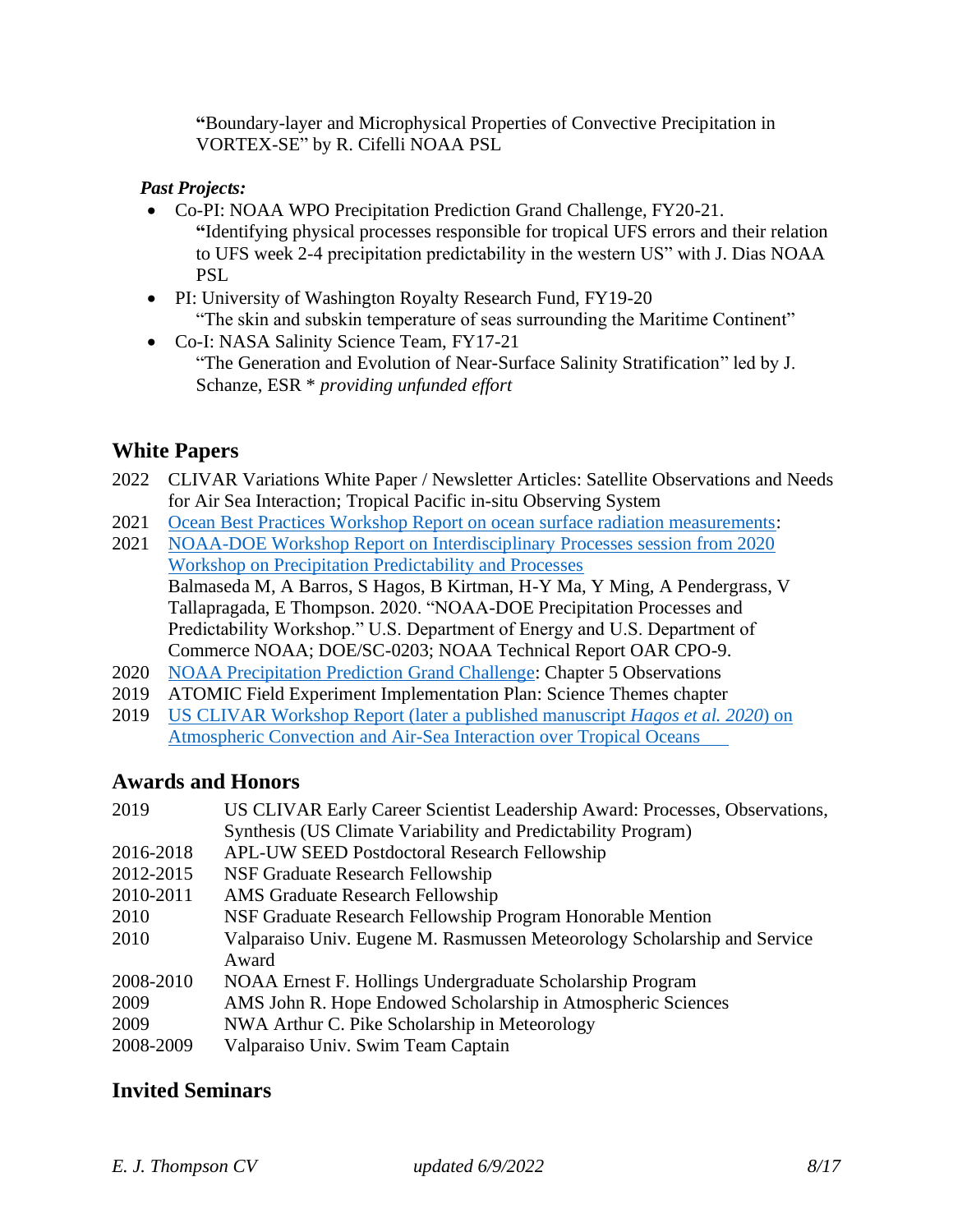**"**Boundary-layer and Microphysical Properties of Convective Precipitation in VORTEX-SE" by R. Cifelli NOAA PSL

#### *Past Projects:*

- Co-PI: NOAA WPO Precipitation Prediction Grand Challenge, FY20-21. **"**Identifying physical processes responsible for tropical UFS errors and their relation to UFS week 2-4 precipitation predictability in the western US" with J. Dias NOAA PSL
- PI: University of Washington Royalty Research Fund, FY19-20 "The skin and subskin temperature of seas surrounding the Maritime Continent"
- Co-I: NASA Salinity Science Team, FY17-21 "The Generation and Evolution of Near-Surface Salinity Stratification" led by J. Schanze, ESR \* *providing unfunded effort*

## **White Papers**

- 2022 CLIVAR Variations White Paper / Newsletter Articles: Satellite Observations and Needs for Air Sea Interaction; Tropical Pacific in-situ Observing System
- 2021 [Ocean Best Practices Workshop Report on ocean surface radiation measurements:](https://airseaobs.org/wp-content/uploads/2021/07/OBPS-Wkshp-IV-Surface-radiation-WG-report_standalone-version_2021-07-27.pdf)
- 2021 [NOAA-DOE Workshop Report on Interdisciplinary Processes session from 2020](/Users/eliz/Documents/Master/CV/Balmaseda%20M,%20A%20Barros,%20S%20Hagos,%20B%20Kirtman,%20H-Y%20Ma,%20Y%20Ming,%20A%20Pendergrass,%20V%20Tallapragada,%20E%20Thompson.%202020.%20)  [Workshop on Precipitation Predictability and Processes](/Users/eliz/Documents/Master/CV/Balmaseda%20M,%20A%20Barros,%20S%20Hagos,%20B%20Kirtman,%20H-Y%20Ma,%20Y%20Ming,%20A%20Pendergrass,%20V%20Tallapragada,%20E%20Thompson.%202020.%20) Balmaseda M, A Barros, S Hagos, B Kirtman, H-Y Ma, Y Ming, A Pendergrass, V Tallapragada, E Thompson. 2020. "NOAA-DOE Precipitation Processes and Predictability Workshop." U.S. Department of Energy and U.S. Department of Commerce NOAA; DOE/SC-0203; NOAA Technical Report OAR CPO-9.
- 2020 [NOAA Precipitation Prediction Grand Challenge:](https://cpo.noaa.gov/Portals/0/Docs/ESSM/Events/2020/NOAA_DOE_PrecipWorkshopReport_July2021.pdf?ver=2021-07-14-160100-057) Chapter 5 Observations
- 2019 ATOMIC Field Experiment Implementation Plan: Science Themes chapter
- 2019 [US CLIVAR Workshop Report \(later a published manuscript](https://indd.adobe.com/view/a255ef0e-44a0-4eff-8c45-ce876f40d91d) *Hagos et al. 2020*) on [Atmospheric Convection and Air-Sea Interaction over Tropical Oceans](https://indd.adobe.com/view/a255ef0e-44a0-4eff-8c45-ce876f40d91d)

## **Awards and Honors**

| US CLIVAR Early Career Scientist Leadership Award: Processes, Observations, |
|-----------------------------------------------------------------------------|
| Synthesis (US Climate Variability and Predictability Program)               |
| <b>APL-UW SEED Postdoctoral Research Fellowship</b>                         |
| NSF Graduate Research Fellowship                                            |
| <b>AMS</b> Graduate Research Fellowship                                     |
| NSF Graduate Research Fellowship Program Honorable Mention                  |
| Valparaiso Univ. Eugene M. Rasmussen Meteorology Scholarship and Service    |
| Award                                                                       |
| NOAA Ernest F. Hollings Undergraduate Scholarship Program                   |
| AMS John R. Hope Endowed Scholarship in Atmospheric Sciences                |
| NWA Arthur C. Pike Scholarship in Meteorology                               |
| Valparaiso Univ. Swim Team Captain                                          |
|                                                                             |

## **Invited Seminars**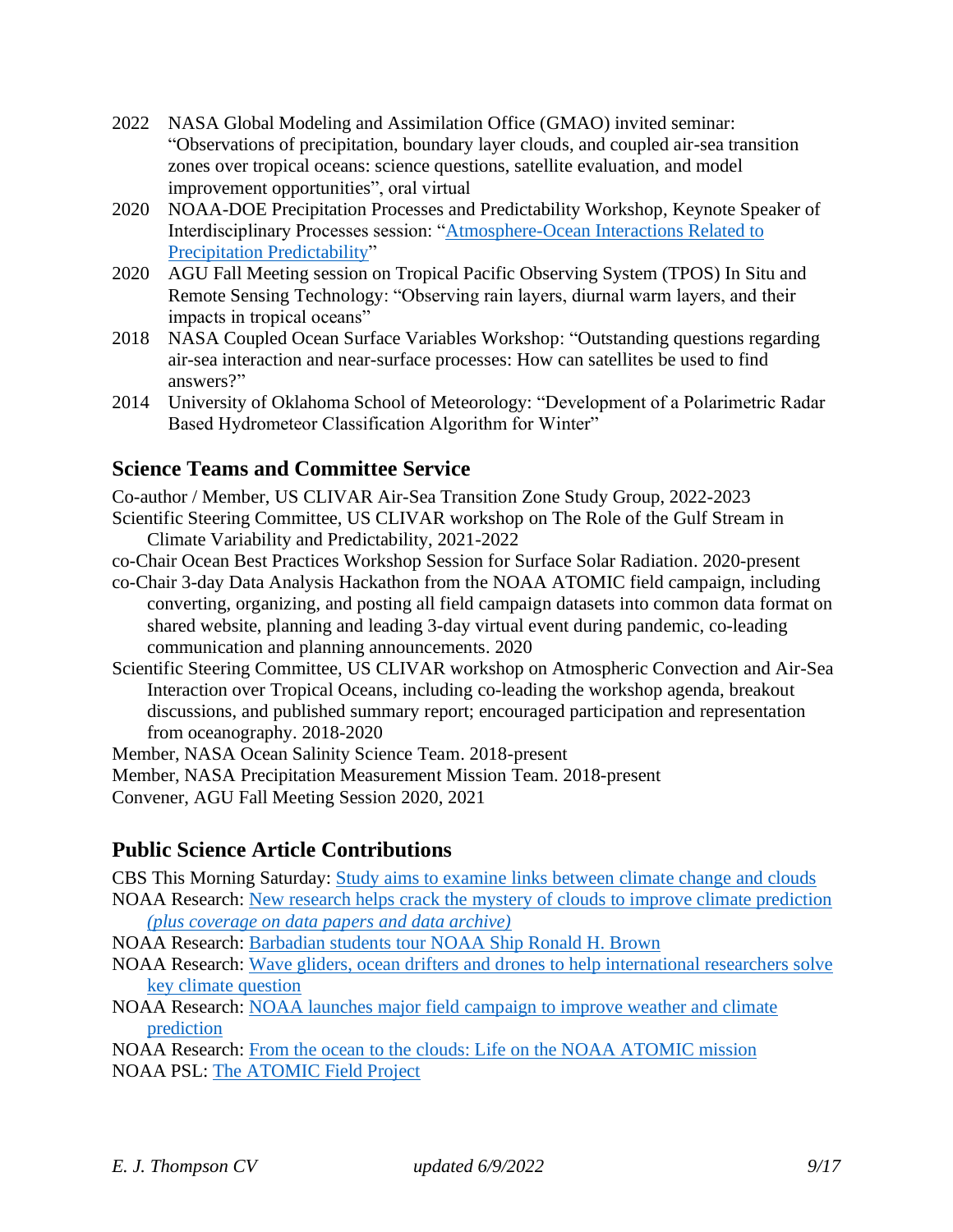- 2022 NASA Global Modeling and Assimilation Office (GMAO) invited seminar: "Observations of precipitation, boundary layer clouds, and coupled air-sea transition zones over tropical oceans: science questions, satellite evaluation, and model improvement opportunities", oral virtual
- 2020 NOAA-DOE Precipitation Processes and Predictability Workshop, Keynote Speaker of Interdisciplinary Processes session: ["Atmosphere-Ocean Interactions Related to](https://cpo.noaa.gov/Portals/0/Docs/ESSM/Events/2020/NOAA-DOE-PPPW-presentations/T07_Thompson_OceanAtmosphereInteractionsRelatedToPrecip.pdf?ver=2021-01-11-115453-850)  [Precipitation Predictability"](https://cpo.noaa.gov/Portals/0/Docs/ESSM/Events/2020/NOAA-DOE-PPPW-presentations/T07_Thompson_OceanAtmosphereInteractionsRelatedToPrecip.pdf?ver=2021-01-11-115453-850)
- 2020 AGU Fall Meeting session on Tropical Pacific Observing System (TPOS) In Situ and Remote Sensing Technology: "Observing rain layers, diurnal warm layers, and their impacts in tropical oceans"
- 2018 NASA Coupled Ocean Surface Variables Workshop: "Outstanding questions regarding air-sea interaction and near-surface processes: How can satellites be used to find answers?"
- 2014 University of Oklahoma School of Meteorology: "Development of a Polarimetric Radar Based Hydrometeor Classification Algorithm for Winter"

## **Science Teams and Committee Service**

Co-author / Member, US CLIVAR Air-Sea Transition Zone Study Group, 2022-2023 Scientific Steering Committee, US CLIVAR workshop on The Role of the Gulf Stream in Climate Variability and Predictability, 2021-2022

co-Chair Ocean Best Practices Workshop Session for Surface Solar Radiation. 2020-present

co-Chair 3-day Data Analysis Hackathon from the NOAA ATOMIC field campaign, including converting, organizing, and posting all field campaign datasets into common data format on shared website, planning and leading 3-day virtual event during pandemic, co-leading communication and planning announcements. 2020

Scientific Steering Committee, US CLIVAR workshop on Atmospheric Convection and Air-Sea Interaction over Tropical Oceans, including co-leading the workshop agenda, breakout discussions, and published summary report; encouraged participation and representation from oceanography. 2018-2020

Member, NASA Ocean Salinity Science Team. 2018-present

Member, NASA Precipitation Measurement Mission Team. 2018-present

Convener, AGU Fall Meeting Session 2020, 2021

## **Public Science Article Contributions**

CBS This Morning Saturday: [Study aims to examine links between climate change and clouds](https://www.cbsnews.com/video/study-aims-to-examine-links-between-climate-change-and-clouds/)

NOAA Research: [New research helps crack the mystery of clouds to improve climate prediction](https://research.noaa.gov/article/ArtMID/587/ArticleID/2788/New-research-helps-crack-the-mystery-of-clouds-to-improve-climate-prediction) *(plus coverage on data papers and data archive)*

NOAA Research: [Barbadian students tour NOAA Ship Ronald H. Brown](https://research.noaa.gov/article/ArtMID/587/ArticleID/2588/Barbadian-students-tour-NOAA-Ship-Ronald-H-Brown)

- NOAA Research: [Wave gliders, ocean drifters and drones to help international researchers solve](https://research.noaa.gov/article/ArtMID/587/ArticleID/2582/Wavegliders-ocean-drifters-and-drones-to-help-international-researchers-solve-key-climate-question)  [key climate question](https://research.noaa.gov/article/ArtMID/587/ArticleID/2582/Wavegliders-ocean-drifters-and-drones-to-help-international-researchers-solve-key-climate-question)
- NOAA Research: [NOAA launches major field campaign to improve weather and climate](https://research.noaa.gov/article/ArtMID/587/ArticleID/2577)  [prediction](https://research.noaa.gov/article/ArtMID/587/ArticleID/2577)

NOAA Research: [From the ocean to the clouds: Life on the NOAA ATOMIC mission](https://research.noaa.gov/article/ArtMID/587/ArticleID/2605/From-the-ocean-to-the-clouds-What-life-is-like-on-a-major-NOAA-research-mission) NOAA PSL: [The ATOMIC Field Project](https://psl.noaa.gov/atomic/)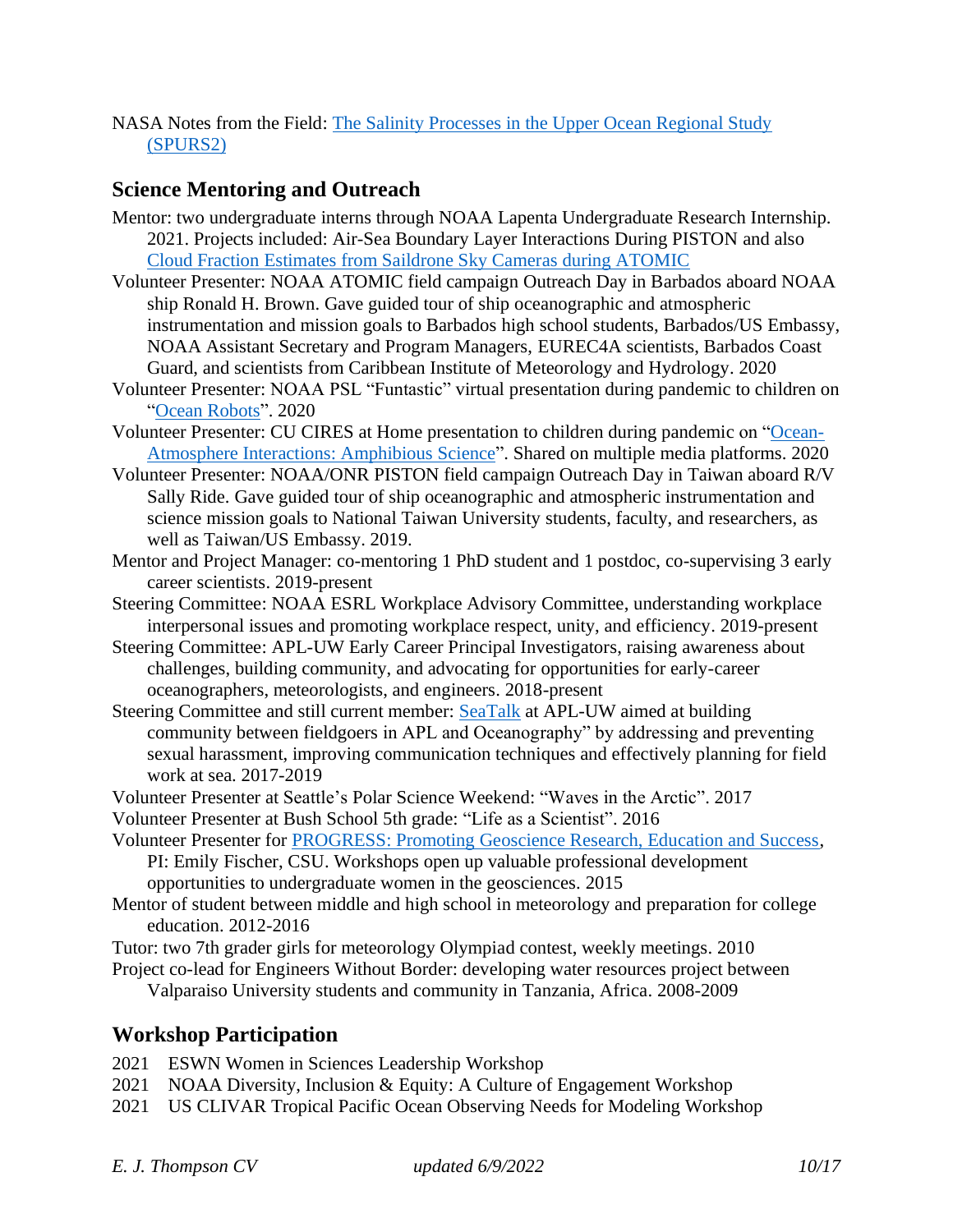NASA Notes from the Field: [The Salinity Processes in the Upper Ocean Regional Study](https://earthobservatory.nasa.gov/blogs/fromthefield/category/spurs/)  [\(SPURS2\)](https://earthobservatory.nasa.gov/blogs/fromthefield/category/spurs/)

## **Science Mentoring and Outreach**

- Mentor: two undergraduate interns through NOAA Lapenta Undergraduate Research Internship. 2021. Projects included: Air-Sea Boundary Layer Interactions During PISTON and also [Cloud Fraction Estimates from Saildrone Sky Cameras during ATOMIC](https://github.com/ampate/cloudFractionProject)
- Volunteer Presenter: NOAA ATOMIC field campaign Outreach Day in Barbados aboard NOAA ship Ronald H. Brown. Gave guided tour of ship oceanographic and atmospheric instrumentation and mission goals to Barbados high school students, Barbados/US Embassy, NOAA Assistant Secretary and Program Managers, EUREC4A scientists, Barbados Coast Guard, and scientists from Caribbean Institute of Meteorology and Hydrology. 2020
- Volunteer Presenter: NOAA PSL "Funtastic" virtual presentation during pandemic to children on ["Ocean Robots"](https://www.psl.noaa.gov/outreach/funtastic-science-talks/). 2020
- Volunteer Presenter: CU CIRES at Home presentation to children during pandemic on ["Ocean-](https://cires.colorado.edu/outreach/scienceathome/thompson)[Atmosphere Interactions: Amphibious Science"](https://cires.colorado.edu/outreach/scienceathome/thompson). Shared on multiple media platforms. 2020
- Volunteer Presenter: NOAA/ONR PISTON field campaign Outreach Day in Taiwan aboard R/V Sally Ride. Gave guided tour of ship oceanographic and atmospheric instrumentation and science mission goals to National Taiwan University students, faculty, and researchers, as well as Taiwan/US Embassy. 2019.
- Mentor and Project Manager: co-mentoring 1 PhD student and 1 postdoc, co-supervising 3 early career scientists. 2019-present
- Steering Committee: NOAA ESRL Workplace Advisory Committee, understanding workplace interpersonal issues and promoting workplace respect, unity, and efficiency. 2019-present
- Steering Committee: APL-UW Early Career Principal Investigators, raising awareness about challenges, building community, and advocating for opportunities for early-career oceanographers, meteorologists, and engineers. 2018-present
- Steering Committee and still current member: [SeaTalk](http://psc.apl.washington.edu/HLD/SEATALK/Seatalk.html) at APL-UW aimed at building community between fieldgoers in APL and Oceanography" by addressing and preventing sexual harassment, improving communication techniques and effectively planning for field work at sea. 2017-2019
- Volunteer Presenter at Seattle's Polar Science Weekend: "Waves in the Arctic". 2017

Volunteer Presenter at Bush School 5th grade: "Life as a Scientist". 2016

- Volunteer Presenter for [PROGRESS: Promoting Geoscience Research, Education and Success,](https://geosciencewomen.org/about-this-program/) PI: Emily Fischer, CSU. Workshops open up valuable professional development opportunities to undergraduate women in the geosciences. 2015
- Mentor of student between middle and high school in meteorology and preparation for college education. 2012-2016
- Tutor: two 7th grader girls for meteorology Olympiad contest, weekly meetings. 2010
- Project co-lead for Engineers Without Border: developing water resources project between
	- Valparaiso University students and community in Tanzania, Africa. 2008-2009

## **Workshop Participation**

- 2021 ESWN Women in Sciences Leadership Workshop
- 2021 NOAA Diversity, Inclusion & Equity: A Culture of Engagement Workshop
- 2021 US CLIVAR Tropical Pacific Ocean Observing Needs for Modeling Workshop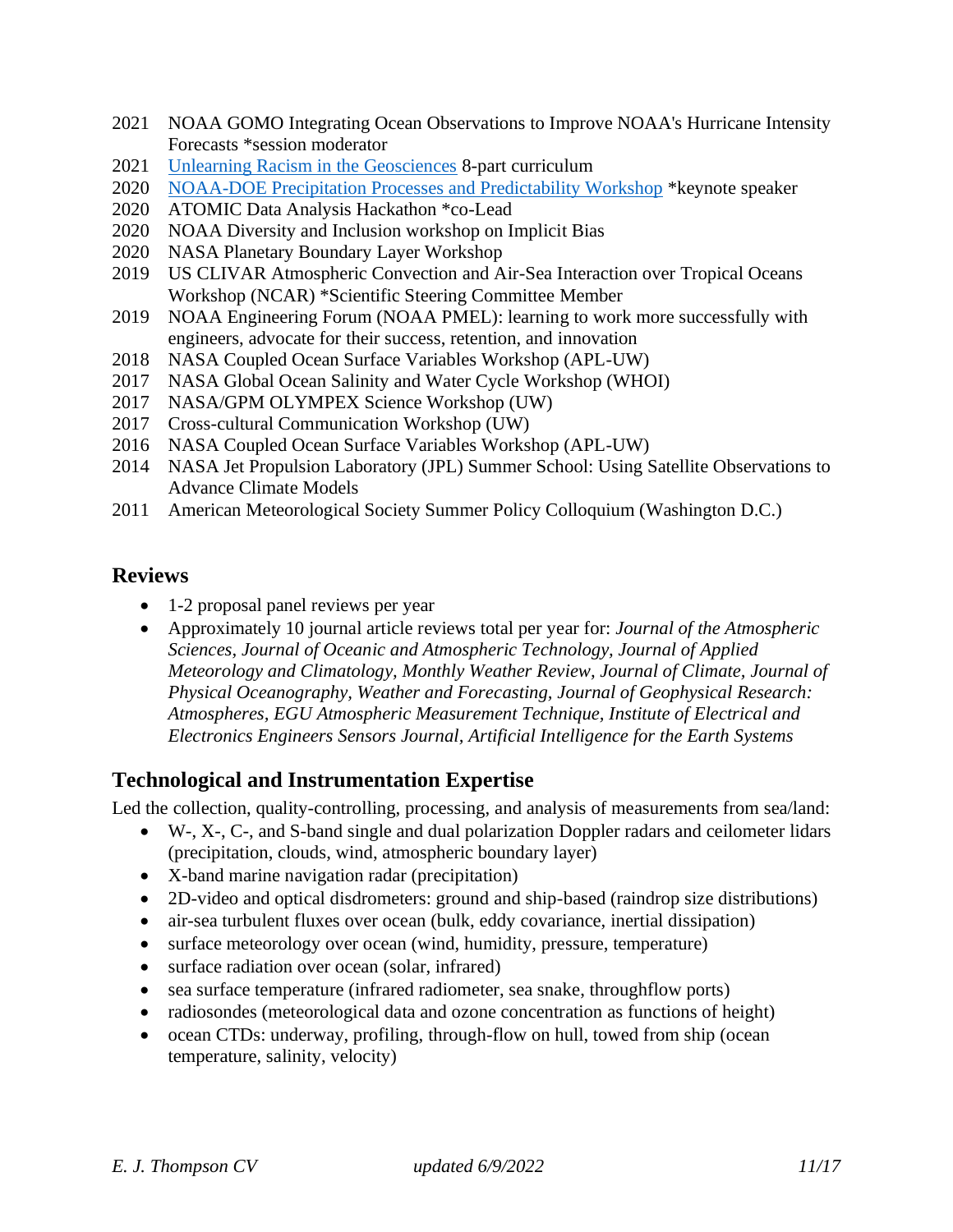- 2021 NOAA GOMO Integrating Ocean Observations to Improve NOAA's Hurricane Intensity Forecasts \*session moderator
- 2021 [Unlearning Racism in the Geosciences](https://urgeoscience.org/) 8-part curriculum
- 2020 [NOAA-DOE Precipitation Processes and Predictability Workshop](https://cpo.noaa.gov/News/News-Article/ArtMID/6226/ArticleID/2030/NOAA-DOE-Precipitation-Processes-and-Predictability-Workshop) \*keynote speaker
- 2020 ATOMIC Data Analysis Hackathon \*co-Lead
- 2020 NOAA Diversity and Inclusion workshop on Implicit Bias
- 2020 NASA Planetary Boundary Layer Workshop
- 2019 US CLIVAR Atmospheric Convection and Air-Sea Interaction over Tropical Oceans Workshop (NCAR) \*Scientific Steering Committee Member
- 2019 NOAA Engineering Forum (NOAA PMEL): learning to work more successfully with engineers, advocate for their success, retention, and innovation
- 2018 NASA Coupled Ocean Surface Variables Workshop (APL-UW)
- 2017 NASA Global Ocean Salinity and Water Cycle Workshop (WHOI)
- 2017 NASA/GPM OLYMPEX Science Workshop (UW)
- 2017 Cross-cultural Communication Workshop (UW)
- 2016 NASA Coupled Ocean Surface Variables Workshop (APL-UW)
- 2014 NASA Jet Propulsion Laboratory (JPL) Summer School: Using Satellite Observations to Advance Climate Models
- 2011 American Meteorological Society Summer Policy Colloquium (Washington D.C.)

## **Reviews**

- 1-2 proposal panel reviews per year
- Approximately 10 journal article reviews total per year for: *Journal of the Atmospheric Sciences, Journal of Oceanic and Atmospheric Technology, Journal of Applied Meteorology and Climatology, Monthly Weather Review, Journal of Climate, Journal of Physical Oceanography, Weather and Forecasting, Journal of Geophysical Research: Atmospheres, EGU Atmospheric Measurement Technique, Institute of Electrical and Electronics Engineers Sensors Journal, Artificial Intelligence for the Earth Systems*

## **Technological and Instrumentation Expertise**

Led the collection, quality-controlling, processing, and analysis of measurements from sea/land:

- W-, X-, C-, and S-band single and dual polarization Doppler radars and ceilometer lidars (precipitation, clouds, wind, atmospheric boundary layer)
- X-band marine navigation radar (precipitation)
- 2D-video and optical disdrometers: ground and ship-based (raindrop size distributions)
- air-sea turbulent fluxes over ocean (bulk, eddy covariance, inertial dissipation)
- surface meteorology over ocean (wind, humidity, pressure, temperature)
- surface radiation over ocean (solar, infrared)
- sea surface temperature (infrared radiometer, sea snake, throughflow ports)
- radiosondes (meteorological data and ozone concentration as functions of height)
- ocean CTDs: underway, profiling, through-flow on hull, towed from ship (ocean temperature, salinity, velocity)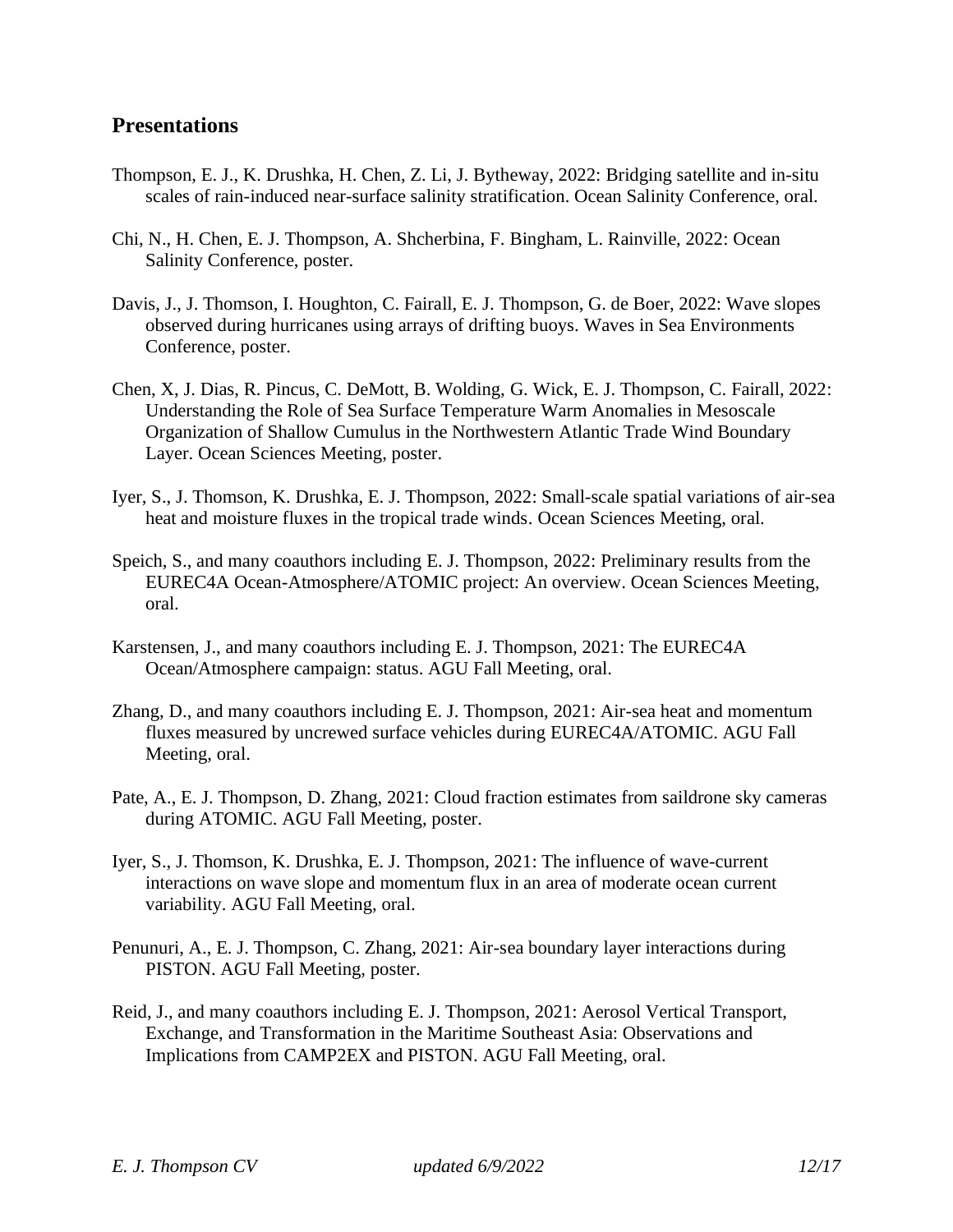#### **Presentations**

- Thompson, E. J., K. Drushka, H. Chen, Z. Li, J. Bytheway, 2022: Bridging satellite and in-situ scales of rain-induced near-surface salinity stratification. Ocean Salinity Conference, oral.
- Chi, N., H. Chen, E. J. Thompson, A. Shcherbina, F. Bingham, L. Rainville, 2022: Ocean Salinity Conference, poster.
- Davis, J., J. Thomson, I. Houghton, C. Fairall, E. J. Thompson, G. de Boer, 2022: Wave slopes observed during hurricanes using arrays of drifting buoys. Waves in Sea Environments Conference, poster.
- Chen, X, J. Dias, R. Pincus, C. DeMott, B. Wolding, G. Wick, E. J. Thompson, C. Fairall, 2022: Understanding the Role of Sea Surface Temperature Warm Anomalies in Mesoscale Organization of Shallow Cumulus in the Northwestern Atlantic Trade Wind Boundary Layer. Ocean Sciences Meeting, poster.
- Iyer, S., J. Thomson, K. Drushka, E. J. Thompson, 2022: Small-scale spatial variations of air-sea heat and moisture fluxes in the tropical trade winds. Ocean Sciences Meeting, oral.
- Speich, S., and many coauthors including E. J. Thompson, 2022: Preliminary results from the EUREC4A Ocean-Atmosphere/ATOMIC project: An overview. Ocean Sciences Meeting, oral.
- Karstensen, J., and many coauthors including E. J. Thompson, 2021: The EUREC4A Ocean/Atmosphere campaign: status. AGU Fall Meeting, oral.
- Zhang, D., and many coauthors including E. J. Thompson, 2021: Air-sea heat and momentum fluxes measured by uncrewed surface vehicles during EUREC4A/ATOMIC. AGU Fall Meeting, oral.
- Pate, A., E. J. Thompson, D. Zhang, 2021: Cloud fraction estimates from saildrone sky cameras during ATOMIC. AGU Fall Meeting, poster.
- Iyer, S., J. Thomson, K. Drushka, E. J. Thompson, 2021: The influence of wave-current interactions on wave slope and momentum flux in an area of moderate ocean current variability. AGU Fall Meeting, oral.
- Penunuri, A., E. J. Thompson, C. Zhang, 2021: Air-sea boundary layer interactions during PISTON. AGU Fall Meeting, poster.
- Reid, J., and many coauthors including E. J. Thompson, 2021: Aerosol Vertical Transport, Exchange, and Transformation in the Maritime Southeast Asia: Observations and Implications from CAMP2EX and PISTON. AGU Fall Meeting, oral.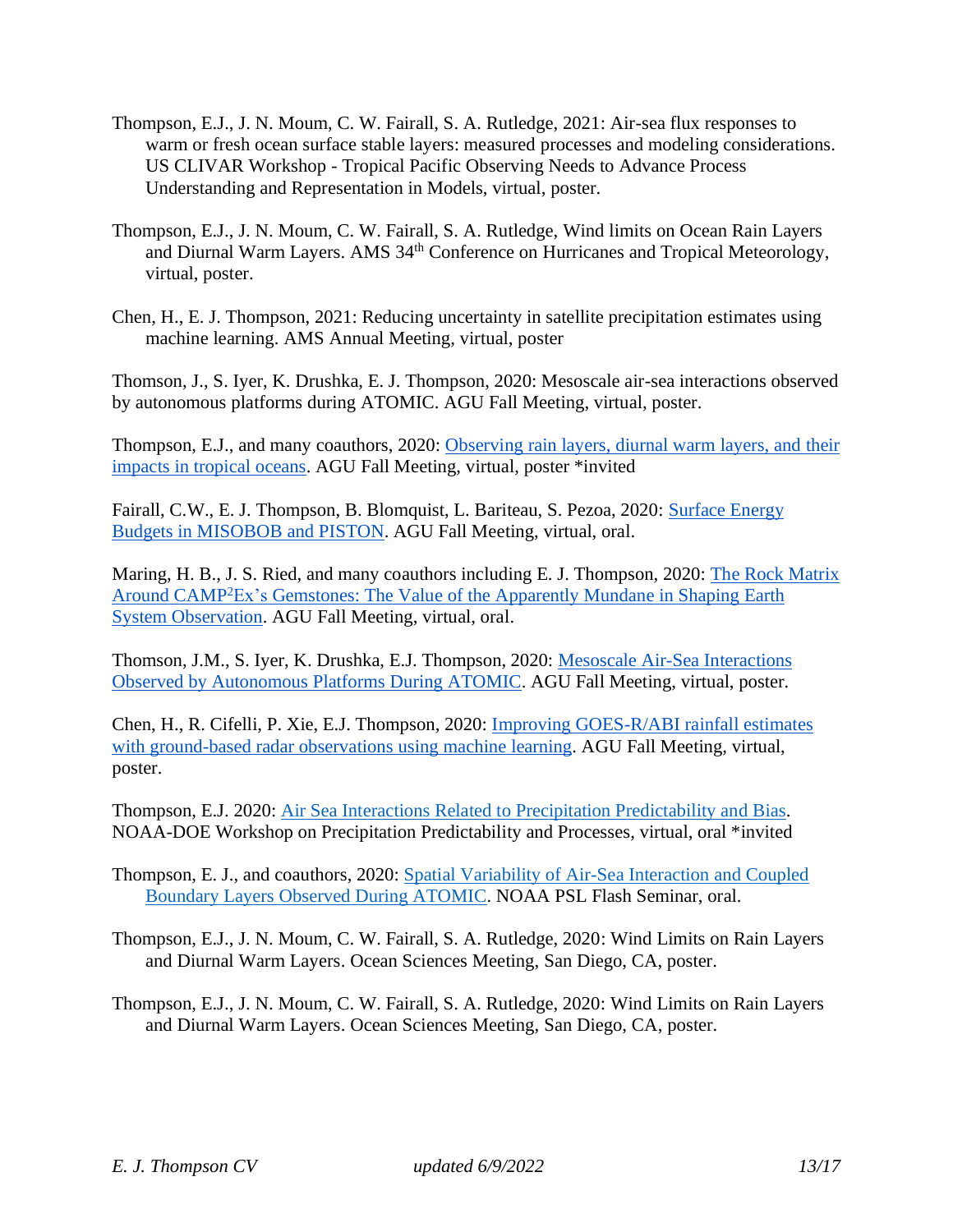- Thompson, E.J., J. N. Moum, C. W. Fairall, S. A. Rutledge, 2021: Air-sea flux responses to warm or fresh ocean surface stable layers: measured processes and modeling considerations. US CLIVAR Workshop - Tropical Pacific Observing Needs to Advance Process Understanding and Representation in Models, virtual, poster.
- Thompson, E.J., J. N. Moum, C. W. Fairall, S. A. Rutledge, Wind limits on Ocean Rain Layers and Diurnal Warm Layers. AMS 34<sup>th</sup> Conference on Hurricanes and Tropical Meteorology, virtual, poster.
- Chen, H., E. J. Thompson, 2021: Reducing uncertainty in satellite precipitation estimates using machine learning. AMS Annual Meeting, virtual, poster

Thomson, J., S. Iyer, K. Drushka, E. J. Thompson, 2020: Mesoscale air-sea interactions observed by autonomous platforms during ATOMIC. AGU Fall Meeting, virtual, poster.

Thompson, E.J., and many coauthors, 2020: [Observing](https://agu2020fallmeeting-agu.ipostersessions.com/?s=F5-09-89-8A-5F-8B-E3-12-94-DD-C5-F4-72-CE-BB-C6) rain layers, diurnal warm layers, and their [impacts](https://agu2020fallmeeting-agu.ipostersessions.com/?s=F5-09-89-8A-5F-8B-E3-12-94-DD-C5-F4-72-CE-BB-C6) in tropical oceans. AGU Fall Meeting, virtual, poster \*invited

Fairall, C.W., E. J. Thompson, B. Blomquist, L. Bariteau, S. Pezoa, 2020: [Surface](https://agu.confex.com/agu/fm20/meetingapp.cgi/Home/Paper/703077) Energy Budgets in [MISOBOB](https://agu.confex.com/agu/fm20/meetingapp.cgi/Home/Paper/703077) and PISTON. AGU Fall Meeting, virtual, oral.

Maring, H. B., J. S. Ried, and many coauthors including E. J. Thompson, 2020: The Rock [Matrix](https://agu.confex.com/agu/fm20/meetingapp.cgi/Home/Paper/702373) Around CAMP<sup>2</sup>Ex's [Gemstones:](https://agu.confex.com/agu/fm20/meetingapp.cgi/Home/Paper/702373) The Value of the Apparently Mundane in Shaping Earth System [Observation.](https://agu.confex.com/agu/fm20/meetingapp.cgi/Home/Paper/702373) AGU Fall Meeting, virtual, oral.

Thomson, J.M., S. Iyer, K. Drushka, E.J. Thompson, 2020: Mesoscale Air-Sea [Interactions](https://agu2020fallmeeting-agu.ipostersessions.com/?s=D0-A6-D7-9F-88-D1-77-99-CB-EB-99-34-97-8F-92-BD) Observed by [Autonomous](https://agu2020fallmeeting-agu.ipostersessions.com/?s=D0-A6-D7-9F-88-D1-77-99-CB-EB-99-34-97-8F-92-BD) Platforms During ATOMIC. AGU Fall Meeting, virtual, poster.

Chen, H., R. Cifelli, P. Xie, E.J. Thompson, 2020: Improving [GOES-R/ABI](https://agu2020fallmeeting-agu.ipostersessions.com/?s=7F-70-5B-A9-3A-49-42-82-03-65-5D-47-E4-12-9F-93) rainfall estimates with [ground-based](https://agu2020fallmeeting-agu.ipostersessions.com/?s=7F-70-5B-A9-3A-49-42-82-03-65-5D-47-E4-12-9F-93) radar observations using machine learning. AGU Fall Meeting, virtual, poster.

Thompson, E.J. 2020: [Air Sea Interactions Related to Precipitation Predictability and Bias.](https://cpo.noaa.gov/Portals/0/Docs/ESSM/Events/2020/NOAA-DOE-PPPW-presentations/T07_Thompson_OceanAtmosphereInteractionsRelatedToPrecip.pdf) NOAA-DOE Workshop on Precipitation Predictability and Processes, virtual, oral \*invited

- Thompson, E. J., and coauthors, 2020: [Spatial Variability of Air-Sea Interaction and Coupled](https://psl.noaa.gov/seminars/Abstracts/2020/451.html)  [Boundary Layers Observed During ATOMIC.](https://psl.noaa.gov/seminars/Abstracts/2020/451.html) NOAA PSL Flash Seminar, oral.
- Thompson, E.J., J. N. Moum, C. W. Fairall, S. A. Rutledge, 2020: Wind Limits on Rain Layers and Diurnal Warm Layers. Ocean Sciences Meeting, San Diego, CA, poster.
- Thompson, E.J., J. N. Moum, C. W. Fairall, S. A. Rutledge, 2020: Wind Limits on Rain Layers and Diurnal Warm Layers. Ocean Sciences Meeting, San Diego, CA, poster.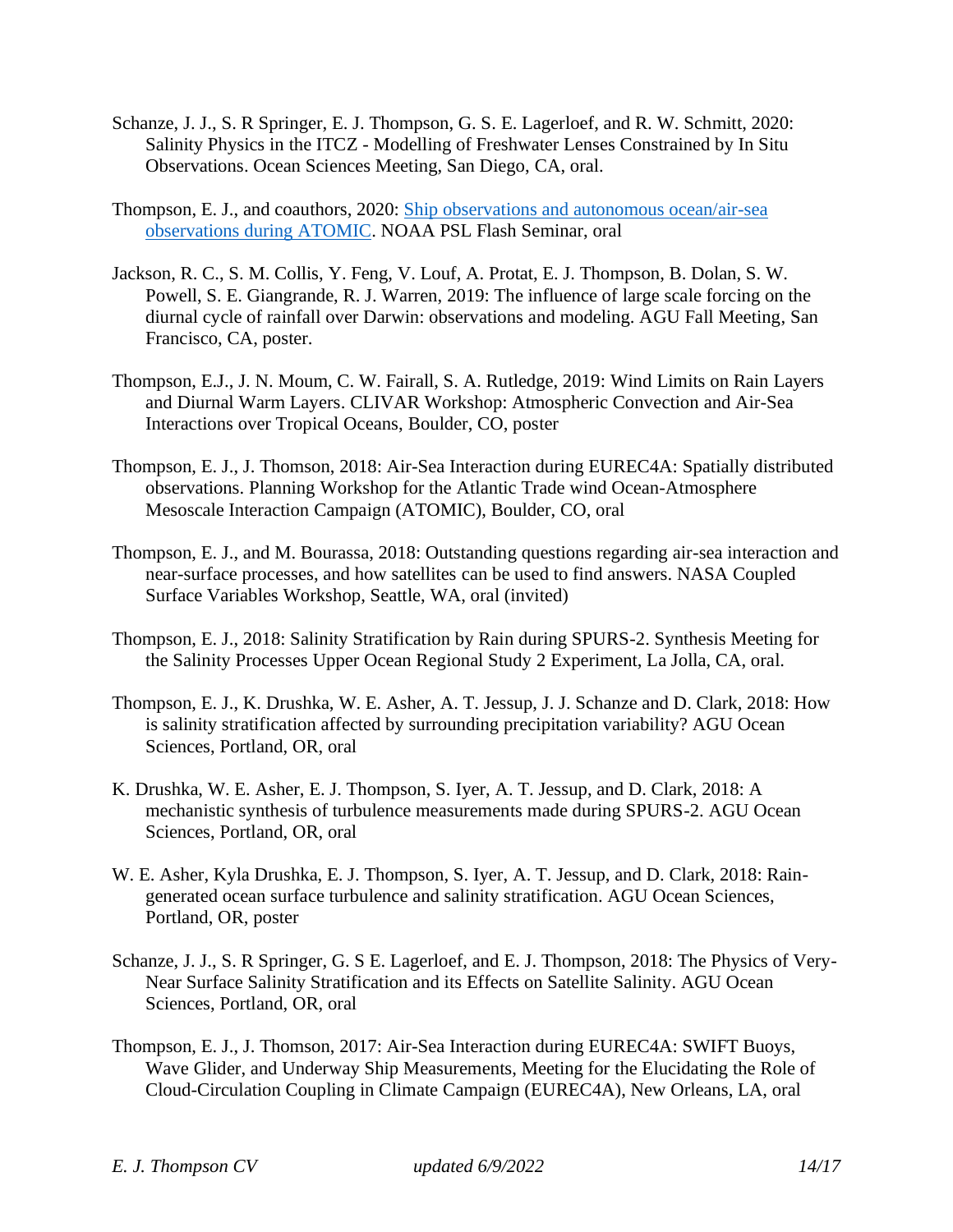- Schanze, J. J., S. R Springer, E. J. Thompson, G. S. E. Lagerloef, and R. W. Schmitt, 2020: Salinity Physics in the ITCZ - Modelling of Freshwater Lenses Constrained by In Situ Observations. Ocean Sciences Meeting, San Diego, CA, oral.
- Thompson, E. J., and coauthors, 2020: [Ship observations and autonomous ocean/air-sea](https://psl.noaa.gov/atomic/pdf/presentations/ATOMIC_ship_UAV_ET.pdf)  [observations during ATOMIC.](https://psl.noaa.gov/atomic/pdf/presentations/ATOMIC_ship_UAV_ET.pdf) NOAA PSL Flash Seminar, oral
- Jackson, R. C., S. M. Collis, Y. Feng, V. Louf, A. Protat, E. J. Thompson, B. Dolan, S. W. Powell, S. E. Giangrande, R. J. Warren, 2019: The influence of large scale forcing on the diurnal cycle of rainfall over Darwin: observations and modeling. AGU Fall Meeting, San Francisco, CA, poster.
- Thompson, E.J., J. N. Moum, C. W. Fairall, S. A. Rutledge, 2019: Wind Limits on Rain Layers and Diurnal Warm Layers. CLIVAR Workshop: Atmospheric Convection and Air-Sea Interactions over Tropical Oceans, Boulder, CO, poster
- Thompson, E. J., J. Thomson, 2018: Air-Sea Interaction during EUREC4A: Spatially distributed observations. Planning Workshop for the Atlantic Trade wind Ocean-Atmosphere Mesoscale Interaction Campaign (ATOMIC), Boulder, CO, oral
- Thompson, E. J., and M. Bourassa, 2018: Outstanding questions regarding air-sea interaction and near-surface processes, and how satellites can be used to find answers. NASA Coupled Surface Variables Workshop, Seattle, WA, oral (invited)
- Thompson, E. J., 2018: Salinity Stratification by Rain during SPURS-2. Synthesis Meeting for the Salinity Processes Upper Ocean Regional Study 2 Experiment, La Jolla, CA, oral.
- Thompson, E. J., K. Drushka, W. E. Asher, A. T. Jessup, J. J. Schanze and D. Clark, 2018: How is salinity stratification affected by surrounding precipitation variability? AGU Ocean Sciences, Portland, OR, oral
- K. Drushka, W. E. Asher, E. J. Thompson, S. Iyer, A. T. Jessup, and D. Clark, 2018: A mechanistic synthesis of turbulence measurements made during SPURS-2. AGU Ocean Sciences, Portland, OR, oral
- W. E. Asher, Kyla Drushka, E. J. Thompson, S. Iyer, A. T. Jessup, and D. Clark, 2018: Raingenerated ocean surface turbulence and salinity stratification. AGU Ocean Sciences, Portland, OR, poster
- Schanze, J. J., S. R Springer, G. S E. Lagerloef, and E. J. Thompson, 2018: The Physics of Very-Near Surface Salinity Stratification and its Effects on Satellite Salinity. AGU Ocean Sciences, Portland, OR, oral
- Thompson, E. J., J. Thomson, 2017: Air-Sea Interaction during EUREC4A: SWIFT Buoys, Wave Glider, and Underway Ship Measurements, Meeting for the Elucidating the Role of Cloud-Circulation Coupling in Climate Campaign (EUREC4A), New Orleans, LA, oral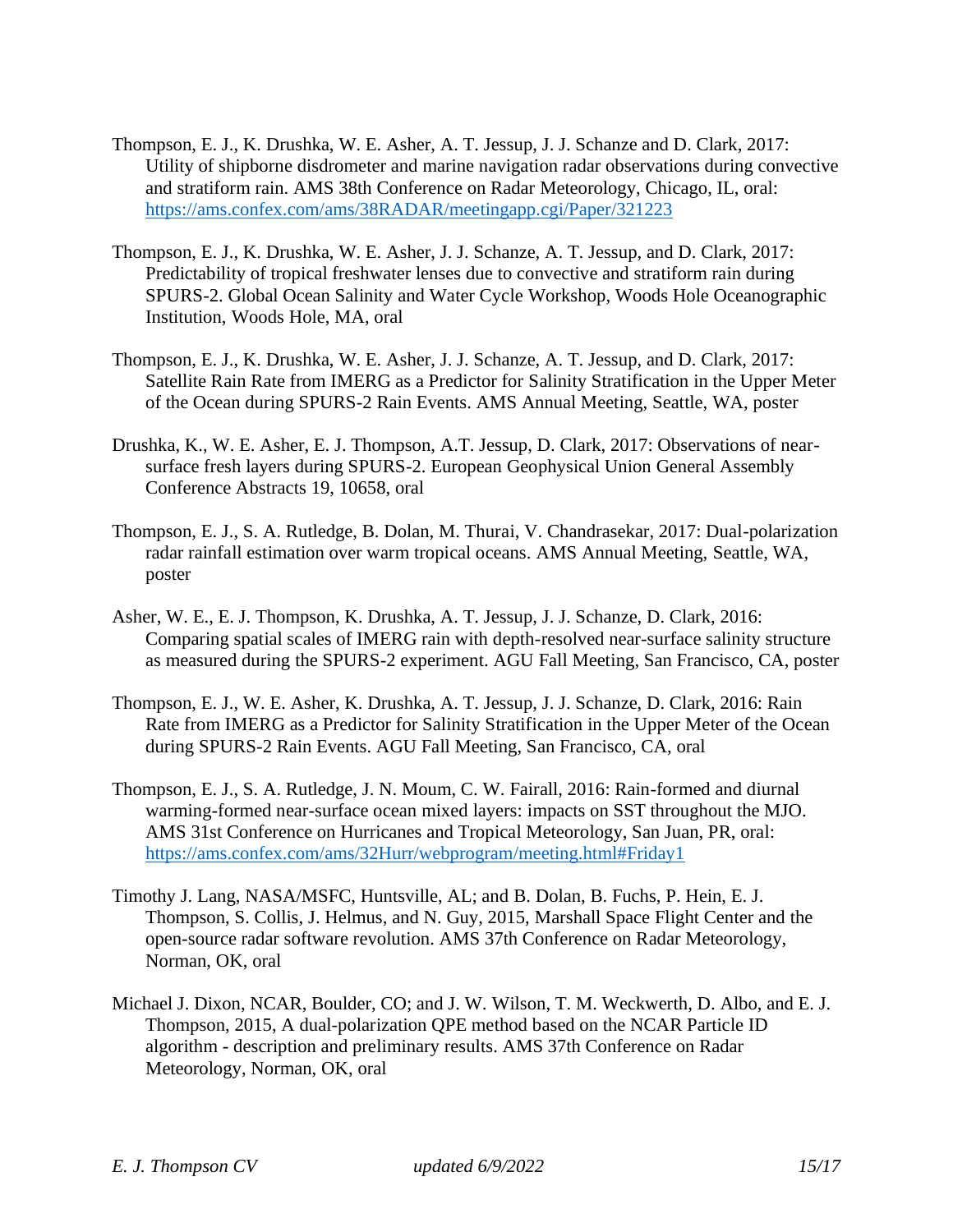- Thompson, E. J., K. Drushka, W. E. Asher, A. T. Jessup, J. J. Schanze and D. Clark, 2017: Utility of shipborne disdrometer and marine navigation radar observations during convective and stratiform rain. AMS 38th Conference on Radar Meteorology, Chicago, IL, oral: <https://ams.confex.com/ams/38RADAR/meetingapp.cgi/Paper/321223>
- Thompson, E. J., K. Drushka, W. E. Asher, J. J. Schanze, A. T. Jessup, and D. Clark, 2017: Predictability of tropical freshwater lenses due to convective and stratiform rain during SPURS-2. Global Ocean Salinity and Water Cycle Workshop, Woods Hole Oceanographic Institution, Woods Hole, MA, oral
- Thompson, E. J., K. Drushka, W. E. Asher, J. J. Schanze, A. T. Jessup, and D. Clark, 2017: Satellite Rain Rate from IMERG as a Predictor for Salinity Stratification in the Upper Meter of the Ocean during SPURS-2 Rain Events. AMS Annual Meeting, Seattle, WA, poster
- Drushka, K., W. E. Asher, E. J. Thompson, A.T. Jessup, D. Clark, 2017: Observations of nearsurface fresh layers during SPURS-2. European Geophysical Union General Assembly Conference Abstracts 19, 10658, oral
- Thompson, E. J., S. A. Rutledge, B. Dolan, M. Thurai, V. Chandrasekar, 2017: Dual-polarization radar rainfall estimation over warm tropical oceans. AMS Annual Meeting, Seattle, WA, poster
- Asher, W. E., E. J. Thompson, K. Drushka, A. T. Jessup, J. J. Schanze, D. Clark, 2016: Comparing spatial scales of IMERG rain with depth-resolved near-surface salinity structure as measured during the SPURS-2 experiment. AGU Fall Meeting, San Francisco, CA, poster
- Thompson, E. J., W. E. Asher, K. Drushka, A. T. Jessup, J. J. Schanze, D. Clark, 2016: Rain Rate from IMERG as a Predictor for Salinity Stratification in the Upper Meter of the Ocean during SPURS-2 Rain Events. AGU Fall Meeting, San Francisco, CA, oral
- Thompson, E. J., S. A. Rutledge, J. N. Moum, C. W. Fairall, 2016: Rain-formed and diurnal warming-formed near-surface ocean mixed layers: impacts on SST throughout the MJO. AMS 31st Conference on Hurricanes and Tropical Meteorology, San Juan, PR, oral: <https://ams.confex.com/ams/32Hurr/webprogram/meeting.html#Friday1>
- Timothy J. Lang, NASA/MSFC, Huntsville, AL; and B. Dolan, B. Fuchs, P. Hein, E. J. Thompson, S. Collis, J. Helmus, and N. Guy, 2015, Marshall Space Flight Center and the open-source radar software revolution. AMS 37th Conference on Radar Meteorology, Norman, OK, oral
- Michael J. Dixon, NCAR, Boulder, CO; and J. W. Wilson, T. M. Weckwerth, D. Albo, and E. J. Thompson, 2015, A dual-polarization QPE method based on the NCAR Particle ID algorithm - description and preliminary results. AMS 37th Conference on Radar Meteorology, Norman, OK, oral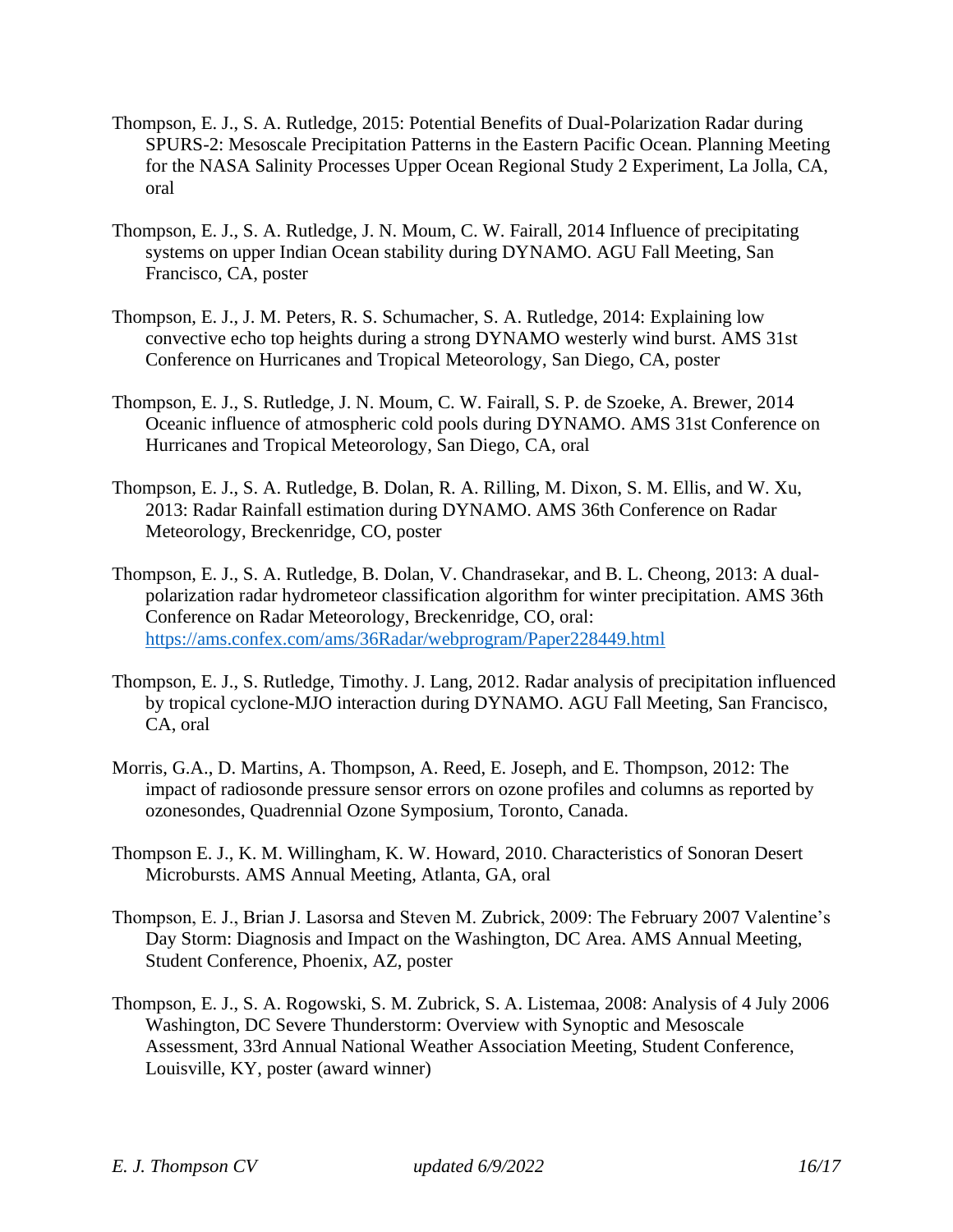- Thompson, E. J., S. A. Rutledge, 2015: Potential Benefits of Dual-Polarization Radar during SPURS-2: Mesoscale Precipitation Patterns in the Eastern Pacific Ocean. Planning Meeting for the NASA Salinity Processes Upper Ocean Regional Study 2 Experiment, La Jolla, CA, oral
- Thompson, E. J., S. A. Rutledge, J. N. Moum, C. W. Fairall, 2014 Influence of precipitating systems on upper Indian Ocean stability during DYNAMO. AGU Fall Meeting, San Francisco, CA, poster
- Thompson, E. J., J. M. Peters, R. S. Schumacher, S. A. Rutledge, 2014: Explaining low convective echo top heights during a strong DYNAMO westerly wind burst. AMS 31st Conference on Hurricanes and Tropical Meteorology, San Diego, CA, poster
- Thompson, E. J., S. Rutledge, J. N. Moum, C. W. Fairall, S. P. de Szoeke, A. Brewer, 2014 Oceanic influence of atmospheric cold pools during DYNAMO. AMS 31st Conference on Hurricanes and Tropical Meteorology, San Diego, CA, oral
- Thompson, E. J., S. A. Rutledge, B. Dolan, R. A. Rilling, M. Dixon, S. M. Ellis, and W. Xu, 2013: Radar Rainfall estimation during DYNAMO. AMS 36th Conference on Radar Meteorology, Breckenridge, CO, poster
- Thompson, E. J., S. A. Rutledge, B. Dolan, V. Chandrasekar, and B. L. Cheong, 2013: A dualpolarization radar hydrometeor classification algorithm for winter precipitation. AMS 36th Conference on Radar Meteorology, Breckenridge, CO, oral: <https://ams.confex.com/ams/36Radar/webprogram/Paper228449.html>
- Thompson, E. J., S. Rutledge, Timothy. J. Lang, 2012. Radar analysis of precipitation influenced by tropical cyclone-MJO interaction during DYNAMO. AGU Fall Meeting, San Francisco, CA, oral
- Morris, G.A., D. Martins, A. Thompson, A. Reed, E. Joseph, and E. Thompson, 2012: The impact of radiosonde pressure sensor errors on ozone profiles and columns as reported by ozonesondes, Quadrennial Ozone Symposium, Toronto, Canada.
- Thompson E. J., K. M. Willingham, K. W. Howard, 2010. Characteristics of Sonoran Desert Microbursts. AMS Annual Meeting, Atlanta, GA, oral
- Thompson, E. J., Brian J. Lasorsa and Steven M. Zubrick, 2009: The February 2007 Valentine's Day Storm: Diagnosis and Impact on the Washington, DC Area. AMS Annual Meeting, Student Conference, Phoenix, AZ, poster
- Thompson, E. J., S. A. Rogowski, S. M. Zubrick, S. A. Listemaa, 2008: Analysis of 4 July 2006 Washington, DC Severe Thunderstorm: Overview with Synoptic and Mesoscale Assessment, 33rd Annual National Weather Association Meeting, Student Conference, Louisville, KY, poster (award winner)